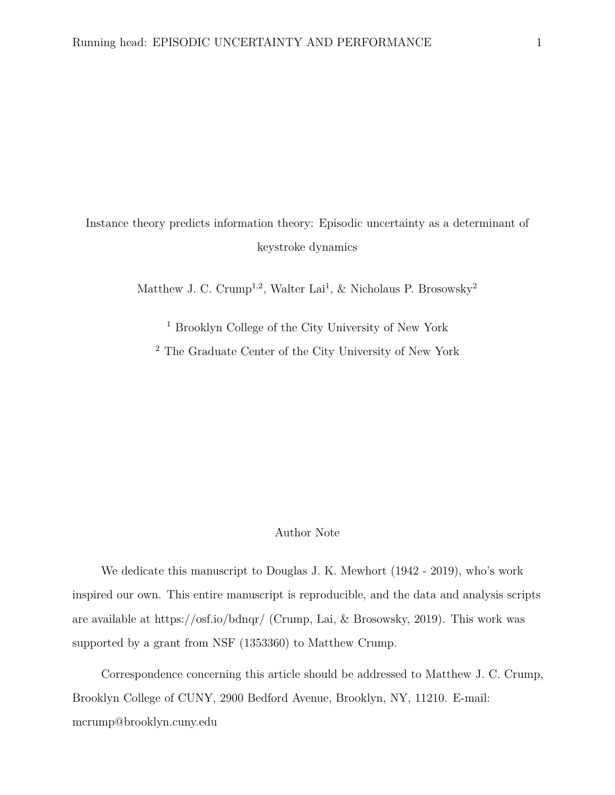# Instance theory predicts information theory: Episodic uncertainty as a determinant of keystroke dynamics

Matthew J. C. Crump<sup>1,2</sup>, Walter Lai<sup>1</sup>, & Nicholaus P. Brosowsky<sup>2</sup>

<sup>1</sup> Brooklyn College of the City University of New York

<sup>2</sup> The Graduate Center of the City University of New York

# Author Note

We dedicate this manuscript to Douglas J. K. Mewhort (1942 - 2019), who's work inspired our own. This entire manuscript is reproducible, and the data and analysis scripts are available at<https://osf.io/bdnqr/> (Crump, Lai, & Brosowsky, 2019). This work was supported by a grant from NSF (1353360) to Matthew Crump.

Correspondence concerning this article should be addressed to Matthew J. C. Crump, Brooklyn College of CUNY, 2900 Bedford Avenue, Brooklyn, NY, 11210. E-mail: [mcrump@brooklyn.cuny.edu](mailto:mcrump@brooklyn.cuny.edu)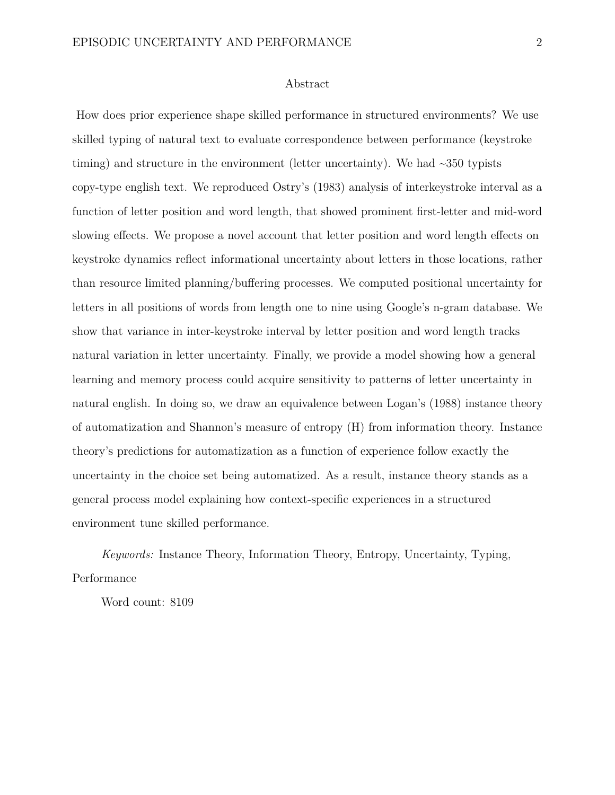#### Abstract

How does prior experience shape skilled performance in structured environments? We use skilled typing of natural text to evaluate correspondence between performance (keystroke timing) and structure in the environment (letter uncertainty). We had  $\sim$ 350 typists copy-type english text. We reproduced Ostry's (1983) analysis of interkeystroke interval as a function of letter position and word length, that showed prominent first-letter and mid-word slowing effects. We propose a novel account that letter position and word length effects on keystroke dynamics reflect informational uncertainty about letters in those locations, rather than resource limited planning/buffering processes. We computed positional uncertainty for letters in all positions of words from length one to nine using Google's n-gram database. We show that variance in inter-keystroke interval by letter position and word length tracks natural variation in letter uncertainty. Finally, we provide a model showing how a general learning and memory process could acquire sensitivity to patterns of letter uncertainty in natural english. In doing so, we draw an equivalence between Logan's (1988) instance theory of automatization and Shannon's measure of entropy (H) from information theory. Instance theory's predictions for automatization as a function of experience follow exactly the uncertainty in the choice set being automatized. As a result, instance theory stands as a general process model explaining how context-specific experiences in a structured environment tune skilled performance.

*Keywords:* Instance Theory, Information Theory, Entropy, Uncertainty, Typing, Performance

Word count: 8109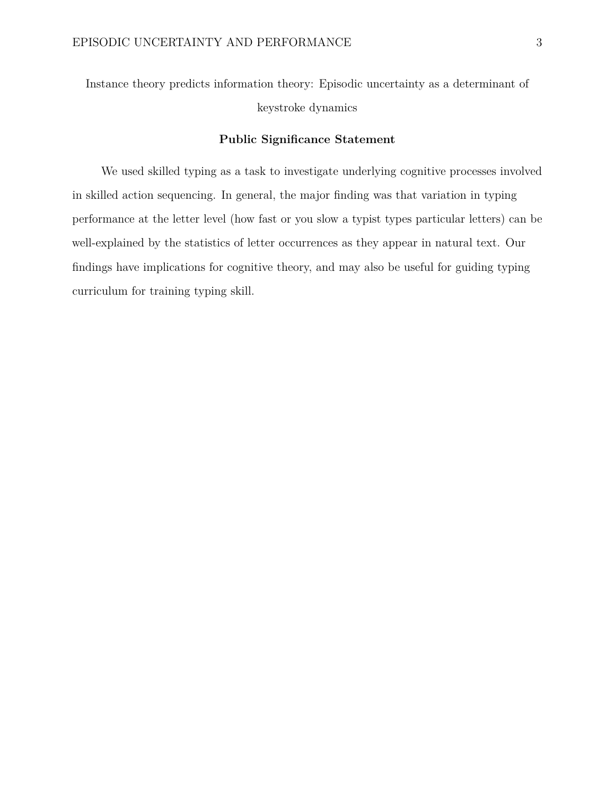Instance theory predicts information theory: Episodic uncertainty as a determinant of keystroke dynamics

# **Public Significance Statement**

We used skilled typing as a task to investigate underlying cognitive processes involved in skilled action sequencing. In general, the major finding was that variation in typing performance at the letter level (how fast or you slow a typist types particular letters) can be well-explained by the statistics of letter occurrences as they appear in natural text. Our findings have implications for cognitive theory, and may also be useful for guiding typing curriculum for training typing skill.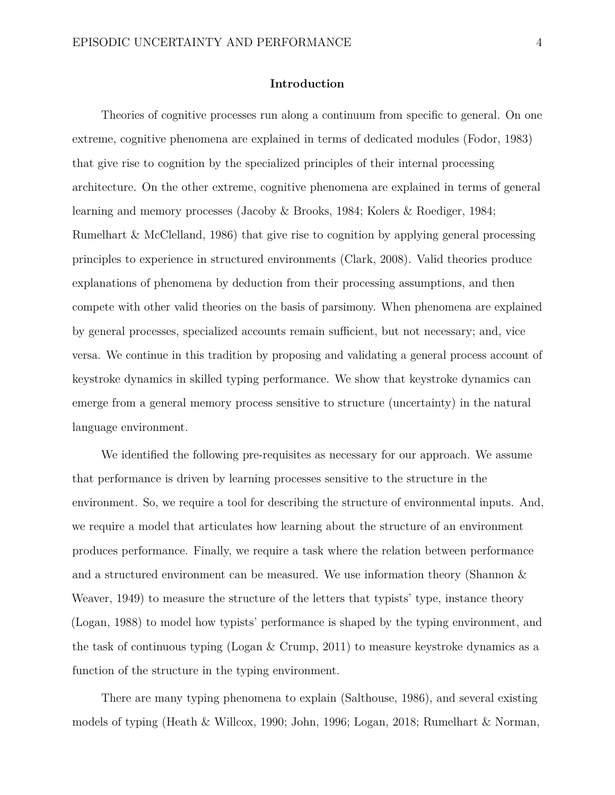# **Introduction**

Theories of cognitive processes run along a continuum from specific to general. On one extreme, cognitive phenomena are explained in terms of dedicated modules (Fodor, 1983) that give rise to cognition by the specialized principles of their internal processing architecture. On the other extreme, cognitive phenomena are explained in terms of general learning and memory processes (Jacoby & Brooks, 1984; Kolers & Roediger, 1984; Rumelhart & McClelland, 1986) that give rise to cognition by applying general processing principles to experience in structured environments (Clark, 2008). Valid theories produce explanations of phenomena by deduction from their processing assumptions, and then compete with other valid theories on the basis of parsimony. When phenomena are explained by general processes, specialized accounts remain sufficient, but not necessary; and, vice versa. We continue in this tradition by proposing and validating a general process account of keystroke dynamics in skilled typing performance. We show that keystroke dynamics can emerge from a general memory process sensitive to structure (uncertainty) in the natural language environment.

We identified the following pre-requisites as necessary for our approach. We assume that performance is driven by learning processes sensitive to the structure in the environment. So, we require a tool for describing the structure of environmental inputs. And, we require a model that articulates how learning about the structure of an environment produces performance. Finally, we require a task where the relation between performance and a structured environment can be measured. We use information theory (Shannon & Weaver, 1949) to measure the structure of the letters that typists' type, instance theory (Logan, 1988) to model how typists' performance is shaped by the typing environment, and the task of continuous typing (Logan & Crump, 2011) to measure keystroke dynamics as a function of the structure in the typing environment.

There are many typing phenomena to explain (Salthouse, 1986), and several existing models of typing (Heath & Willcox, 1990; John, 1996; Logan, 2018; Rumelhart & Norman,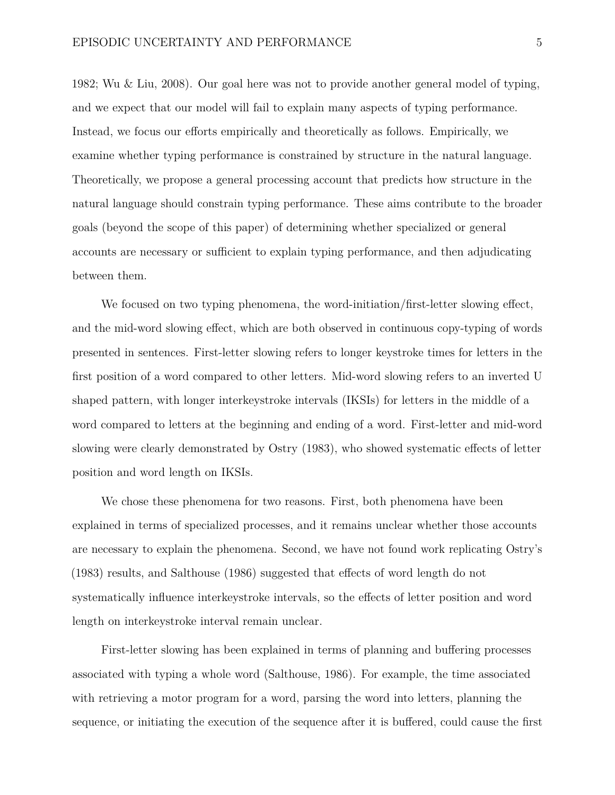1982; Wu & Liu, 2008). Our goal here was not to provide another general model of typing, and we expect that our model will fail to explain many aspects of typing performance. Instead, we focus our efforts empirically and theoretically as follows. Empirically, we examine whether typing performance is constrained by structure in the natural language. Theoretically, we propose a general processing account that predicts how structure in the natural language should constrain typing performance. These aims contribute to the broader goals (beyond the scope of this paper) of determining whether specialized or general accounts are necessary or sufficient to explain typing performance, and then adjudicating between them.

We focused on two typing phenomena, the word-initiation/first-letter slowing effect, and the mid-word slowing effect, which are both observed in continuous copy-typing of words presented in sentences. First-letter slowing refers to longer keystroke times for letters in the first position of a word compared to other letters. Mid-word slowing refers to an inverted U shaped pattern, with longer interkeystroke intervals (IKSIs) for letters in the middle of a word compared to letters at the beginning and ending of a word. First-letter and mid-word slowing were clearly demonstrated by Ostry (1983), who showed systematic effects of letter position and word length on IKSIs.

We chose these phenomena for two reasons. First, both phenomena have been explained in terms of specialized processes, and it remains unclear whether those accounts are necessary to explain the phenomena. Second, we have not found work replicating Ostry's (1983) results, and Salthouse (1986) suggested that effects of word length do not systematically influence interkeystroke intervals, so the effects of letter position and word length on interkeystroke interval remain unclear.

First-letter slowing has been explained in terms of planning and buffering processes associated with typing a whole word (Salthouse, 1986). For example, the time associated with retrieving a motor program for a word, parsing the word into letters, planning the sequence, or initiating the execution of the sequence after it is buffered, could cause the first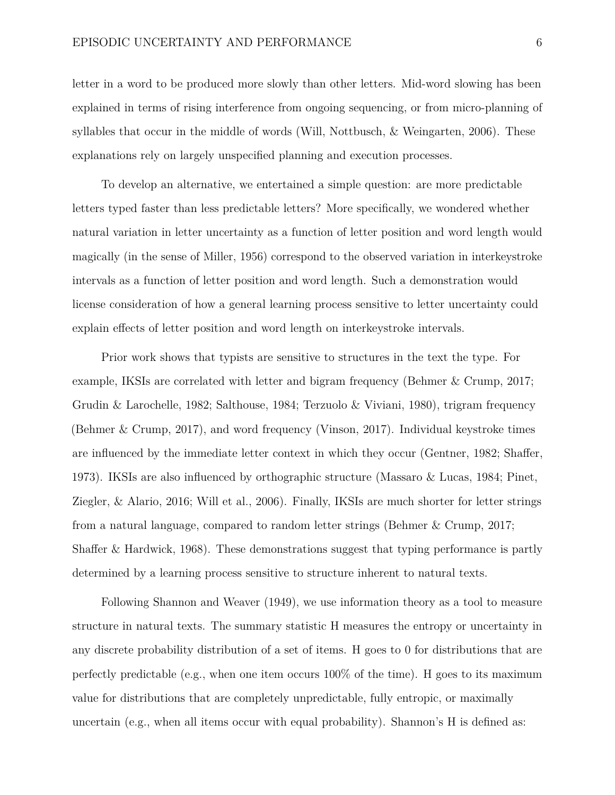letter in a word to be produced more slowly than other letters. Mid-word slowing has been explained in terms of rising interference from ongoing sequencing, or from micro-planning of syllables that occur in the middle of words (Will, Nottbusch, & Weingarten, 2006). These explanations rely on largely unspecified planning and execution processes.

To develop an alternative, we entertained a simple question: are more predictable letters typed faster than less predictable letters? More specifically, we wondered whether natural variation in letter uncertainty as a function of letter position and word length would magically (in the sense of Miller, 1956) correspond to the observed variation in interkeystroke intervals as a function of letter position and word length. Such a demonstration would license consideration of how a general learning process sensitive to letter uncertainty could explain effects of letter position and word length on interkeystroke intervals.

Prior work shows that typists are sensitive to structures in the text the type. For example, IKSIs are correlated with letter and bigram frequency (Behmer & Crump, 2017; Grudin & Larochelle, 1982; Salthouse, 1984; Terzuolo & Viviani, 1980), trigram frequency (Behmer & Crump, 2017), and word frequency (Vinson, 2017). Individual keystroke times are influenced by the immediate letter context in which they occur (Gentner, 1982; Shaffer, 1973). IKSIs are also influenced by orthographic structure (Massaro & Lucas, 1984; Pinet, Ziegler, & Alario, 2016; Will et al., 2006). Finally, IKSIs are much shorter for letter strings from a natural language, compared to random letter strings (Behmer & Crump, 2017; Shaffer & Hardwick, 1968). These demonstrations suggest that typing performance is partly determined by a learning process sensitive to structure inherent to natural texts.

Following Shannon and Weaver (1949), we use information theory as a tool to measure structure in natural texts. The summary statistic H measures the entropy or uncertainty in any discrete probability distribution of a set of items. H goes to 0 for distributions that are perfectly predictable (e.g., when one item occurs  $100\%$  of the time). H goes to its maximum value for distributions that are completely unpredictable, fully entropic, or maximally uncertain (e.g., when all items occur with equal probability). Shannon's H is defined as: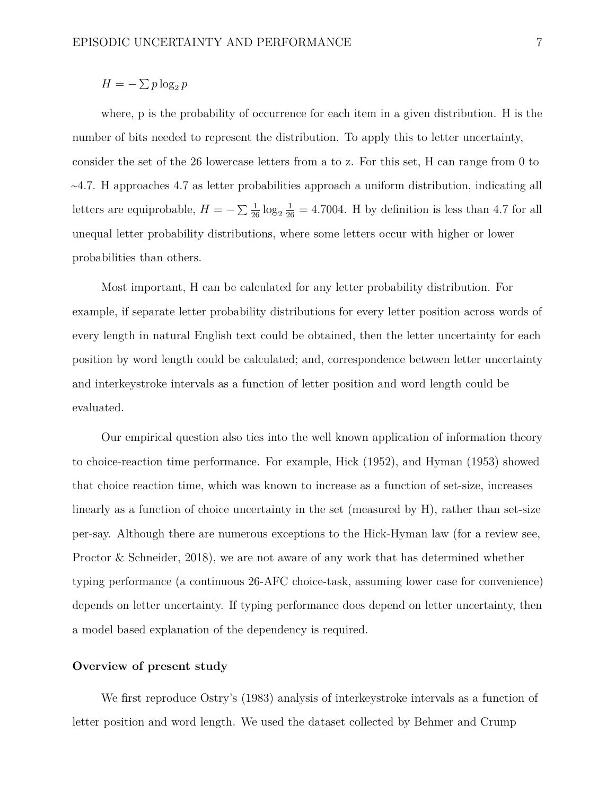# $H = -\sum p \log_2 p$

where, p is the probability of occurrence for each item in a given distribution. H is the number of bits needed to represent the distribution. To apply this to letter uncertainty, consider the set of the 26 lowercase letters from a to z. For this set, H can range from 0 to  $\sim$ 4.7. H approaches 4.7 as letter probabilities approach a uniform distribution, indicating all letters are equiprobable,  $H = -\sum_{i=1}^{\infty} \log_2 \frac{1}{26} = 4.7004$ . H by definition is less than 4.7 for all unequal letter probability distributions, where some letters occur with higher or lower probabilities than others.

Most important, H can be calculated for any letter probability distribution. For example, if separate letter probability distributions for every letter position across words of every length in natural English text could be obtained, then the letter uncertainty for each position by word length could be calculated; and, correspondence between letter uncertainty and interkeystroke intervals as a function of letter position and word length could be evaluated.

Our empirical question also ties into the well known application of information theory to choice-reaction time performance. For example, Hick (1952), and Hyman (1953) showed that choice reaction time, which was known to increase as a function of set-size, increases linearly as a function of choice uncertainty in the set (measured by H), rather than set-size per-say. Although there are numerous exceptions to the Hick-Hyman law (for a review see, Proctor & Schneider, 2018), we are not aware of any work that has determined whether typing performance (a continuous 26-AFC choice-task, assuming lower case for convenience) depends on letter uncertainty. If typing performance does depend on letter uncertainty, then a model based explanation of the dependency is required.

# **Overview of present study**

We first reproduce Ostry's (1983) analysis of interkeystroke intervals as a function of letter position and word length. We used the dataset collected by Behmer and Crump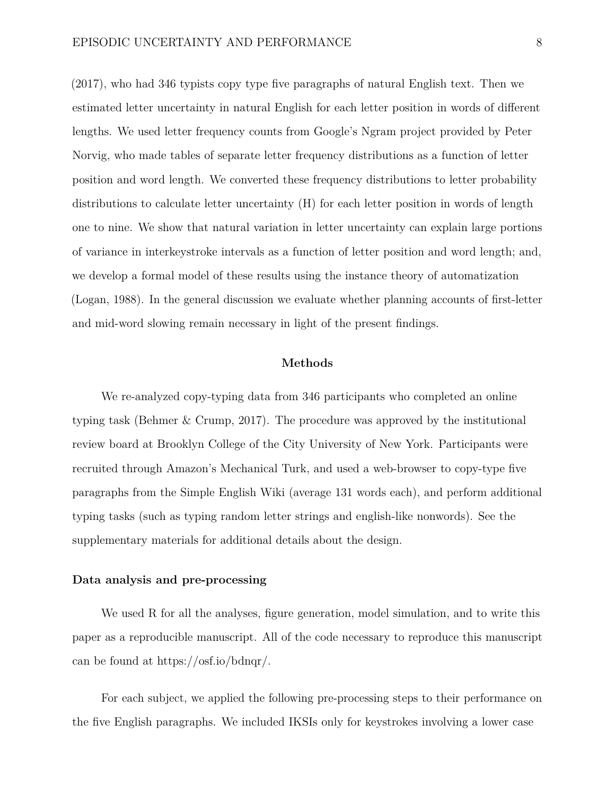(2017), who had 346 typists copy type five paragraphs of natural English text. Then we estimated letter uncertainty in natural English for each letter position in words of different lengths. We used letter frequency counts from Google's Ngram project provided by Peter Norvig, who made tables of separate letter frequency distributions as a function of letter position and word length. We converted these frequency distributions to letter probability distributions to calculate letter uncertainty (H) for each letter position in words of length one to nine. We show that natural variation in letter uncertainty can explain large portions of variance in interkeystroke intervals as a function of letter position and word length; and, we develop a formal model of these results using the instance theory of automatization (Logan, 1988). In the general discussion we evaluate whether planning accounts of first-letter and mid-word slowing remain necessary in light of the present findings.

#### **Methods**

We re-analyzed copy-typing data from 346 participants who completed an online typing task (Behmer & Crump, 2017). The procedure was approved by the institutional review board at Brooklyn College of the City University of New York. Participants were recruited through Amazon's Mechanical Turk, and used a web-browser to copy-type five paragraphs from the Simple English Wiki (average 131 words each), and perform additional typing tasks (such as typing random letter strings and english-like nonwords). See the supplementary materials for additional details about the design.

# **Data analysis and pre-processing**

We used R for all the analyses, figure generation, model simulation, and to write this paper as a reproducible manuscript. All of the code necessary to reproduce this manuscript can be found at [https://osf.io/bdnqr/.](https://osf.io/bdnqr/)

For each subject, we applied the following pre-processing steps to their performance on the five English paragraphs. We included IKSIs only for keystrokes involving a lower case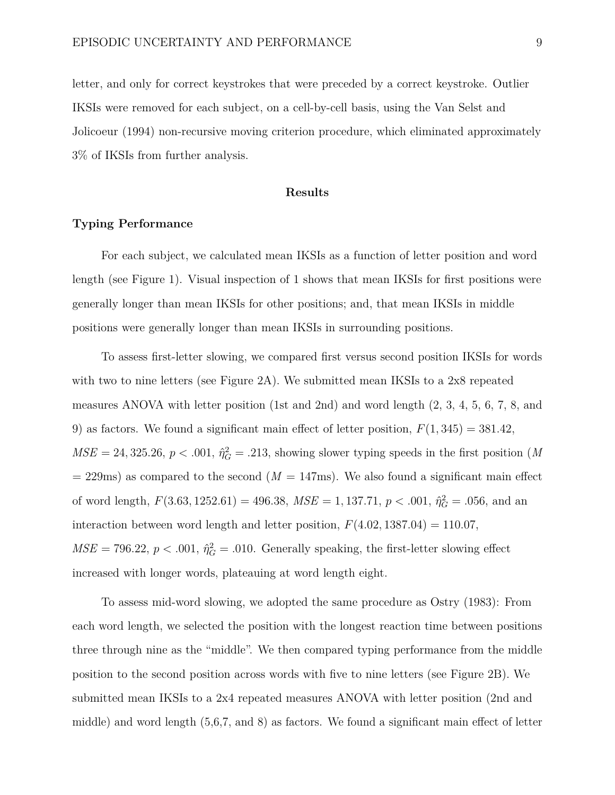letter, and only for correct keystrokes that were preceded by a correct keystroke. Outlier IKSIs were removed for each subject, on a cell-by-cell basis, using the Van Selst and Jolicoeur (1994) non-recursive moving criterion procedure, which eliminated approximately 3% of IKSIs from further analysis.

# **Results**

# **Typing Performance**

For each subject, we calculated mean IKSIs as a function of letter position and word length (see Figure [1\)](#page-32-0). Visual inspection of [1](#page-32-0) shows that mean IKSIs for first positions were generally longer than mean IKSIs for other positions; and, that mean IKSIs in middle positions were generally longer than mean IKSIs in surrounding positions.

To assess first-letter slowing, we compared first versus second position IKSIs for words with two to nine letters (see Figure [2A](#page-33-0)). We submitted mean IKSIs to a 2x8 repeated measures ANOVA with letter position (1st and 2nd) and word length (2, 3, 4, 5, 6, 7, 8, and 9) as factors. We found a significant main effect of letter position,  $F(1,345) = 381.42$ ,  $MSE = 24,325.26, p < .001, \hat{\eta}_G^2 = .213$ , showing slower typing speeds in the first position (*M*  $= 229$ ms) as compared to the second ( $M = 147$ ms). We also found a significant main effect of word length,  $F(3.63, 1252.61) = 496.38$ ,  $MSE = 1,137.71$ ,  $p < .001$ ,  $\hat{\eta}_G^2 = .056$ , and an interaction between word length and letter position,  $F(4.02, 1387.04) = 110.07$ ,  $MSE = 796.22, p < .001, \hat{\eta}_G^2 = .010$ . Generally speaking, the first-letter slowing effect increased with longer words, plateauing at word length eight.

To assess mid-word slowing, we adopted the same procedure as Ostry (1983): From each word length, we selected the position with the longest reaction time between positions three through nine as the "middle". We then compared typing performance from the middle position to the second position across words with five to nine letters (see Figure [2B](#page-33-0)). We submitted mean IKSIs to a 2x4 repeated measures ANOVA with letter position (2nd and middle) and word length (5,6,7, and 8) as factors. We found a significant main effect of letter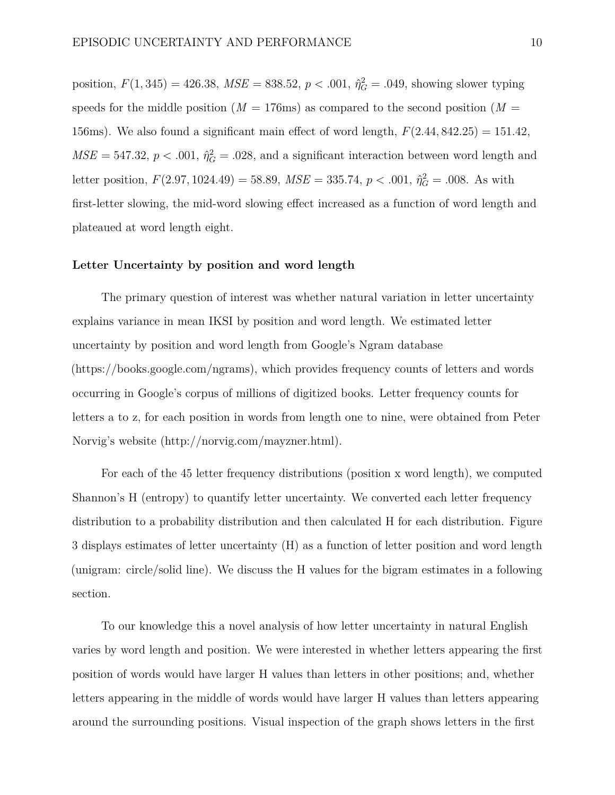position,  $F(1, 345) = 426.38$ ,  $MSE = 838.52$ ,  $p < .001$ ,  $\hat{\eta}_G^2 = .049$ , showing slower typing speeds for the middle position ( $M = 176$ ms) as compared to the second position ( $M =$ 156ms). We also found a significant main effect of word length, *F*(2*.*44*,* 842*.*25) = 151*.*42,  $MSE = 547.32, p < .001, \hat{\eta}_G^2 = .028$ , and a significant interaction between word length and letter position,  $F(2.97, 1024.49) = 58.89$ ,  $MSE = 335.74$ ,  $p < .001$ ,  $\hat{\eta}_G^2 = .008$ . As with first-letter slowing, the mid-word slowing effect increased as a function of word length and plateaued at word length eight.

#### **Letter Uncertainty by position and word length**

The primary question of interest was whether natural variation in letter uncertainty explains variance in mean IKSI by position and word length. We estimated letter uncertainty by position and word length from Google's Ngram database [\(https://books.google.com/ngrams\)](https://books.google.com/ngrams), which provides frequency counts of letters and words occurring in Google's corpus of millions of digitized books. Letter frequency counts for letters a to z, for each position in words from length one to nine, were obtained from Peter Norvig's website [\(http://norvig.com/mayzner.html\)](http://norvig.com/mayzner.html).

For each of the 45 letter frequency distributions (position x word length), we computed Shannon's H (entropy) to quantify letter uncertainty. We converted each letter frequency distribution to a probability distribution and then calculated H for each distribution. Figure [3](#page-34-0) displays estimates of letter uncertainty (H) as a function of letter position and word length (unigram: circle/solid line). We discuss the H values for the bigram estimates in a following section.

To our knowledge this a novel analysis of how letter uncertainty in natural English varies by word length and position. We were interested in whether letters appearing the first position of words would have larger H values than letters in other positions; and, whether letters appearing in the middle of words would have larger H values than letters appearing around the surrounding positions. Visual inspection of the graph shows letters in the first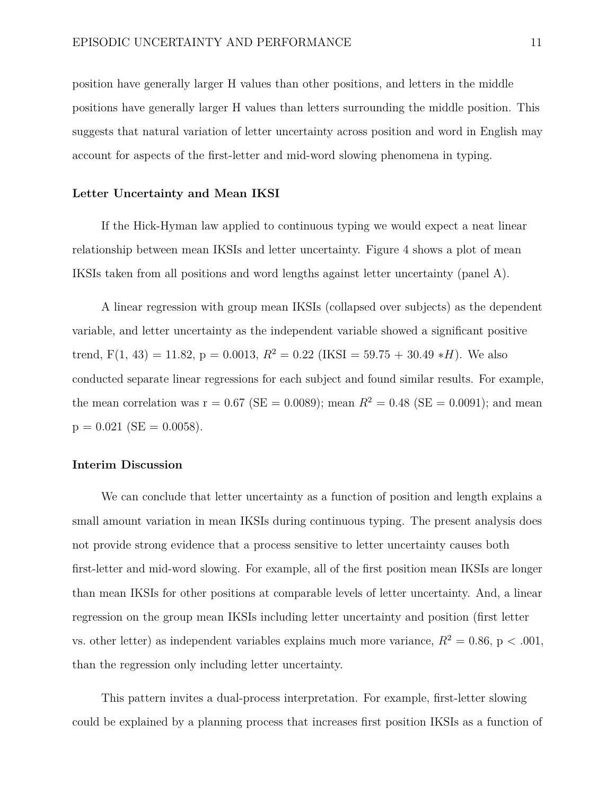position have generally larger H values than other positions, and letters in the middle positions have generally larger H values than letters surrounding the middle position. This suggests that natural variation of letter uncertainty across position and word in English may account for aspects of the first-letter and mid-word slowing phenomena in typing.

#### **Letter Uncertainty and Mean IKSI**

If the Hick-Hyman law applied to continuous typing we would expect a neat linear relationship between mean IKSIs and letter uncertainty. Figure [4](#page-34-1) shows a plot of mean IKSIs taken from all positions and word lengths against letter uncertainty (panel A).

A linear regression with group mean IKSIs (collapsed over subjects) as the dependent variable, and letter uncertainty as the independent variable showed a significant positive trend,  $F(1, 43) = 11.82$ ,  $p = 0.0013$ ,  $R^2 = 0.22$  (IKSI = 59.75 + 30.49  $*H$ ). We also conducted separate linear regressions for each subject and found similar results. For example, the mean correlation was  $r = 0.67$  (SE = 0.0089); mean  $R^2 = 0.48$  (SE = 0.0091); and mean  $p = 0.021$  (SE = 0.0058).

# **Interim Discussion**

We can conclude that letter uncertainty as a function of position and length explains a small amount variation in mean IKSIs during continuous typing. The present analysis does not provide strong evidence that a process sensitive to letter uncertainty causes both first-letter and mid-word slowing. For example, all of the first position mean IKSIs are longer than mean IKSIs for other positions at comparable levels of letter uncertainty. And, a linear regression on the group mean IKSIs including letter uncertainty and position (first letter vs. other letter) as independent variables explains much more variance,  $R^2 = 0.86$ , p < .001, than the regression only including letter uncertainty.

This pattern invites a dual-process interpretation. For example, first-letter slowing could be explained by a planning process that increases first position IKSIs as a function of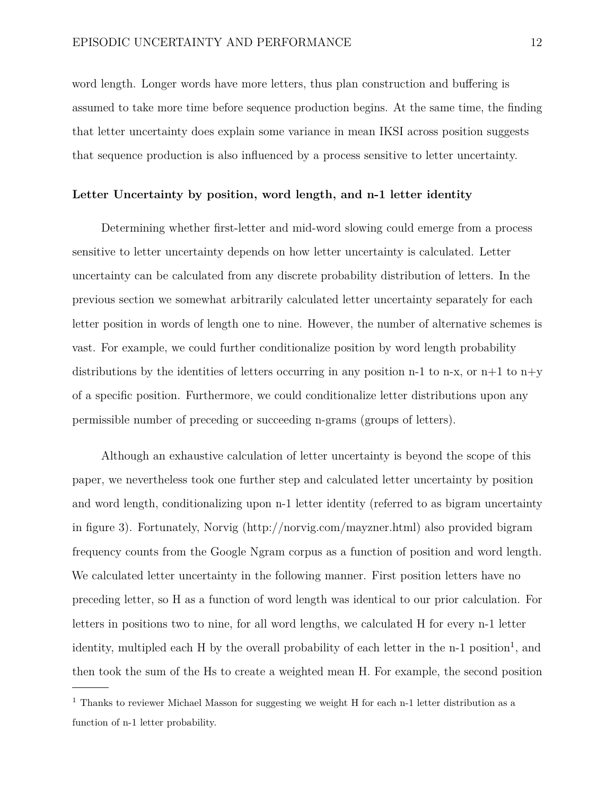word length. Longer words have more letters, thus plan construction and buffering is assumed to take more time before sequence production begins. At the same time, the finding that letter uncertainty does explain some variance in mean IKSI across position suggests that sequence production is also influenced by a process sensitive to letter uncertainty.

# **Letter Uncertainty by position, word length, and n-1 letter identity**

Determining whether first-letter and mid-word slowing could emerge from a process sensitive to letter uncertainty depends on how letter uncertainty is calculated. Letter uncertainty can be calculated from any discrete probability distribution of letters. In the previous section we somewhat arbitrarily calculated letter uncertainty separately for each letter position in words of length one to nine. However, the number of alternative schemes is vast. For example, we could further conditionalize position by word length probability distributions by the identities of letters occurring in any position n-1 to n-x, or n+1 to n+y of a specific position. Furthermore, we could conditionalize letter distributions upon any permissible number of preceding or succeeding n-grams (groups of letters).

Although an exhaustive calculation of letter uncertainty is beyond the scope of this paper, we nevertheless took one further step and calculated letter uncertainty by position and word length, conditionalizing upon n-1 letter identity (referred to as bigram uncertainty in figure [3\)](#page-34-0). Fortunately, Norvig [\(http://norvig.com/mayzner.html\)](http://norvig.com/mayzner.html) also provided bigram frequency counts from the Google Ngram corpus as a function of position and word length. We calculated letter uncertainty in the following manner. First position letters have no preceding letter, so H as a function of word length was identical to our prior calculation. For letters in positions two to nine, for all word lengths, we calculated H for every n-1 letter identity, multipled each H by the overall probability of each letter in the n-[1](#page-11-0) position<sup>1</sup>, and then took the sum of the Hs to create a weighted mean H. For example, the second position

<span id="page-11-0"></span><sup>&</sup>lt;sup>1</sup> Thanks to reviewer Michael Masson for suggesting we weight H for each n-1 letter distribution as a function of n-1 letter probability.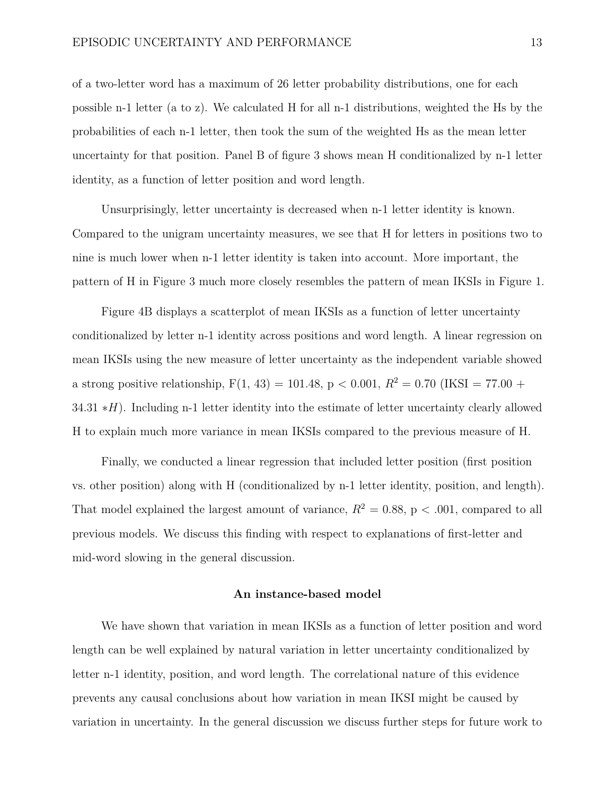of a two-letter word has a maximum of 26 letter probability distributions, one for each possible n-1 letter (a to z). We calculated H for all n-1 distributions, weighted the Hs by the probabilities of each n-1 letter, then took the sum of the weighted Hs as the mean letter uncertainty for that position. Panel B of figure [3](#page-34-0) shows mean H conditionalized by n-1 letter identity, as a function of letter position and word length.

Unsurprisingly, letter uncertainty is decreased when n-1 letter identity is known. Compared to the unigram uncertainty measures, we see that H for letters in positions two to nine is much lower when n-1 letter identity is taken into account. More important, the pattern of H in Figure [3](#page-34-0) much more closely resembles the pattern of mean IKSIs in Figure [1.](#page-32-0)

Figure [4B](#page-34-1) displays a scatterplot of mean IKSIs as a function of letter uncertainty conditionalized by letter n-1 identity across positions and word length. A linear regression on mean IKSIs using the new measure of letter uncertainty as the independent variable showed a strong positive relationship,  $F(1, 43) = 101.48$ ,  $p < 0.001$ ,  $R^2 = 0.70$  (IKSI = 77.00 + 34.31 ∗*H*). Including n-1 letter identity into the estimate of letter uncertainty clearly allowed H to explain much more variance in mean IKSIs compared to the previous measure of H.

Finally, we conducted a linear regression that included letter position (first position vs. other position) along with H (conditionalized by n-1 letter identity, position, and length). That model explained the largest amount of variance,  $R^2 = 0.88$ ,  $p < .001$ , compared to all previous models. We discuss this finding with respect to explanations of first-letter and mid-word slowing in the general discussion.

#### **An instance-based model**

We have shown that variation in mean IKSIs as a function of letter position and word length can be well explained by natural variation in letter uncertainty conditionalized by letter n-1 identity, position, and word length. The correlational nature of this evidence prevents any causal conclusions about how variation in mean IKSI might be caused by variation in uncertainty. In the general discussion we discuss further steps for future work to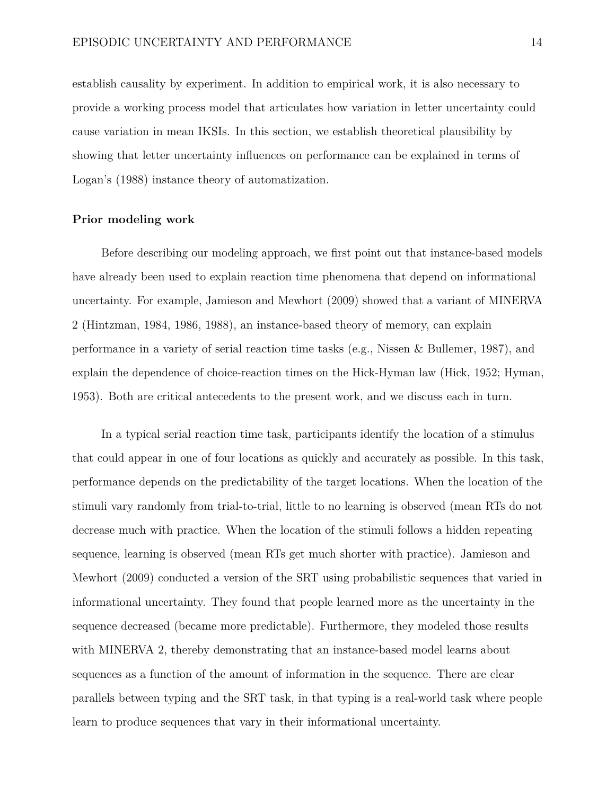establish causality by experiment. In addition to empirical work, it is also necessary to provide a working process model that articulates how variation in letter uncertainty could cause variation in mean IKSIs. In this section, we establish theoretical plausibility by showing that letter uncertainty influences on performance can be explained in terms of Logan's (1988) instance theory of automatization.

### **Prior modeling work**

Before describing our modeling approach, we first point out that instance-based models have already been used to explain reaction time phenomena that depend on informational uncertainty. For example, Jamieson and Mewhort (2009) showed that a variant of MINERVA 2 (Hintzman, 1984, 1986, 1988), an instance-based theory of memory, can explain performance in a variety of serial reaction time tasks (e.g., Nissen & Bullemer, 1987), and explain the dependence of choice-reaction times on the Hick-Hyman law (Hick, 1952; Hyman, 1953). Both are critical antecedents to the present work, and we discuss each in turn.

In a typical serial reaction time task, participants identify the location of a stimulus that could appear in one of four locations as quickly and accurately as possible. In this task, performance depends on the predictability of the target locations. When the location of the stimuli vary randomly from trial-to-trial, little to no learning is observed (mean RTs do not decrease much with practice. When the location of the stimuli follows a hidden repeating sequence, learning is observed (mean RTs get much shorter with practice). Jamieson and Mewhort (2009) conducted a version of the SRT using probabilistic sequences that varied in informational uncertainty. They found that people learned more as the uncertainty in the sequence decreased (became more predictable). Furthermore, they modeled those results with MINERVA 2, thereby demonstrating that an instance-based model learns about sequences as a function of the amount of information in the sequence. There are clear parallels between typing and the SRT task, in that typing is a real-world task where people learn to produce sequences that vary in their informational uncertainty.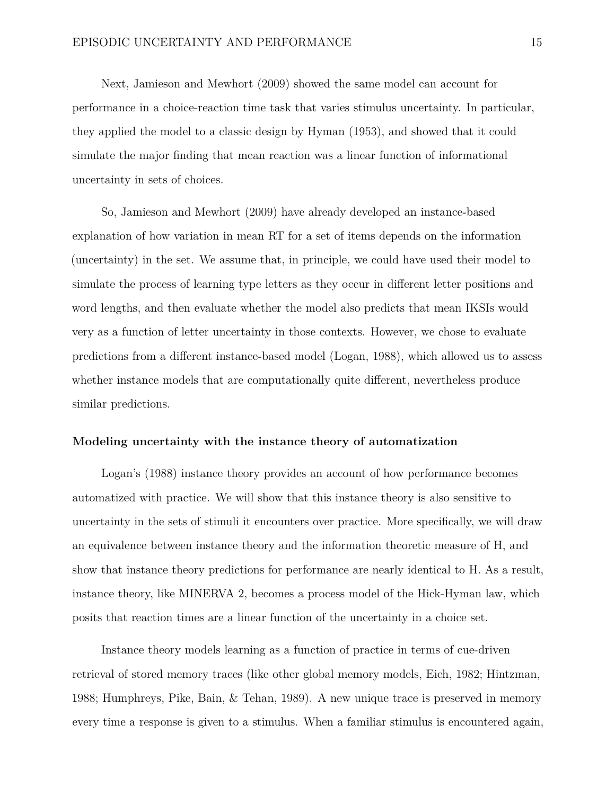Next, Jamieson and Mewhort (2009) showed the same model can account for performance in a choice-reaction time task that varies stimulus uncertainty. In particular, they applied the model to a classic design by Hyman (1953), and showed that it could simulate the major finding that mean reaction was a linear function of informational uncertainty in sets of choices.

So, Jamieson and Mewhort (2009) have already developed an instance-based explanation of how variation in mean RT for a set of items depends on the information (uncertainty) in the set. We assume that, in principle, we could have used their model to simulate the process of learning type letters as they occur in different letter positions and word lengths, and then evaluate whether the model also predicts that mean IKSIs would very as a function of letter uncertainty in those contexts. However, we chose to evaluate predictions from a different instance-based model (Logan, 1988), which allowed us to assess whether instance models that are computationally quite different, nevertheless produce similar predictions.

#### **Modeling uncertainty with the instance theory of automatization**

Logan's (1988) instance theory provides an account of how performance becomes automatized with practice. We will show that this instance theory is also sensitive to uncertainty in the sets of stimuli it encounters over practice. More specifically, we will draw an equivalence between instance theory and the information theoretic measure of H, and show that instance theory predictions for performance are nearly identical to H. As a result, instance theory, like MINERVA 2, becomes a process model of the Hick-Hyman law, which posits that reaction times are a linear function of the uncertainty in a choice set.

Instance theory models learning as a function of practice in terms of cue-driven retrieval of stored memory traces (like other global memory models, Eich, 1982; Hintzman, 1988; Humphreys, Pike, Bain, & Tehan, 1989). A new unique trace is preserved in memory every time a response is given to a stimulus. When a familiar stimulus is encountered again,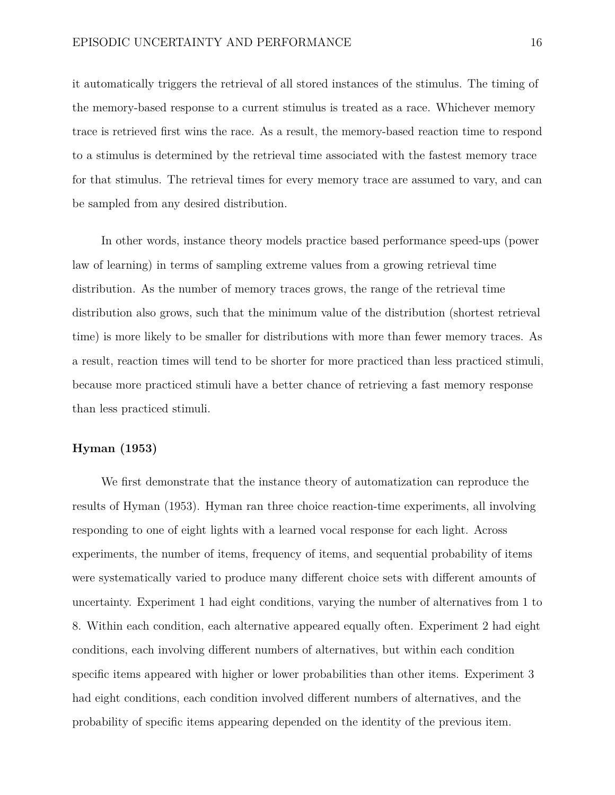it automatically triggers the retrieval of all stored instances of the stimulus. The timing of the memory-based response to a current stimulus is treated as a race. Whichever memory trace is retrieved first wins the race. As a result, the memory-based reaction time to respond to a stimulus is determined by the retrieval time associated with the fastest memory trace for that stimulus. The retrieval times for every memory trace are assumed to vary, and can be sampled from any desired distribution.

In other words, instance theory models practice based performance speed-ups (power law of learning) in terms of sampling extreme values from a growing retrieval time distribution. As the number of memory traces grows, the range of the retrieval time distribution also grows, such that the minimum value of the distribution (shortest retrieval time) is more likely to be smaller for distributions with more than fewer memory traces. As a result, reaction times will tend to be shorter for more practiced than less practiced stimuli, because more practiced stimuli have a better chance of retrieving a fast memory response than less practiced stimuli.

# **Hyman (1953)**

We first demonstrate that the instance theory of automatization can reproduce the results of Hyman (1953). Hyman ran three choice reaction-time experiments, all involving responding to one of eight lights with a learned vocal response for each light. Across experiments, the number of items, frequency of items, and sequential probability of items were systematically varied to produce many different choice sets with different amounts of uncertainty. Experiment 1 had eight conditions, varying the number of alternatives from 1 to 8. Within each condition, each alternative appeared equally often. Experiment 2 had eight conditions, each involving different numbers of alternatives, but within each condition specific items appeared with higher or lower probabilities than other items. Experiment 3 had eight conditions, each condition involved different numbers of alternatives, and the probability of specific items appearing depended on the identity of the previous item.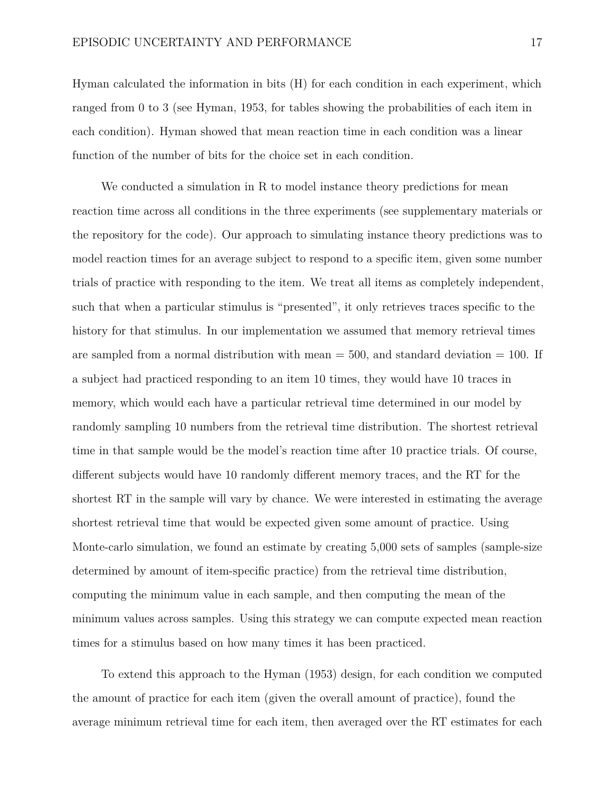Hyman calculated the information in bits (H) for each condition in each experiment, which ranged from 0 to 3 (see Hyman, 1953, for tables showing the probabilities of each item in each condition). Hyman showed that mean reaction time in each condition was a linear function of the number of bits for the choice set in each condition.

We conducted a simulation in R to model instance theory predictions for mean reaction time across all conditions in the three experiments (see supplementary materials or the repository for the code). Our approach to simulating instance theory predictions was to model reaction times for an average subject to respond to a specific item, given some number trials of practice with responding to the item. We treat all items as completely independent, such that when a particular stimulus is "presented", it only retrieves traces specific to the history for that stimulus. In our implementation we assumed that memory retrieval times are sampled from a normal distribution with mean  $=$  500, and standard deviation  $=$  100. If a subject had practiced responding to an item 10 times, they would have 10 traces in memory, which would each have a particular retrieval time determined in our model by randomly sampling 10 numbers from the retrieval time distribution. The shortest retrieval time in that sample would be the model's reaction time after 10 practice trials. Of course, different subjects would have 10 randomly different memory traces, and the RT for the shortest RT in the sample will vary by chance. We were interested in estimating the average shortest retrieval time that would be expected given some amount of practice. Using Monte-carlo simulation, we found an estimate by creating 5,000 sets of samples (sample-size determined by amount of item-specific practice) from the retrieval time distribution, computing the minimum value in each sample, and then computing the mean of the minimum values across samples. Using this strategy we can compute expected mean reaction times for a stimulus based on how many times it has been practiced.

To extend this approach to the Hyman (1953) design, for each condition we computed the amount of practice for each item (given the overall amount of practice), found the average minimum retrieval time for each item, then averaged over the RT estimates for each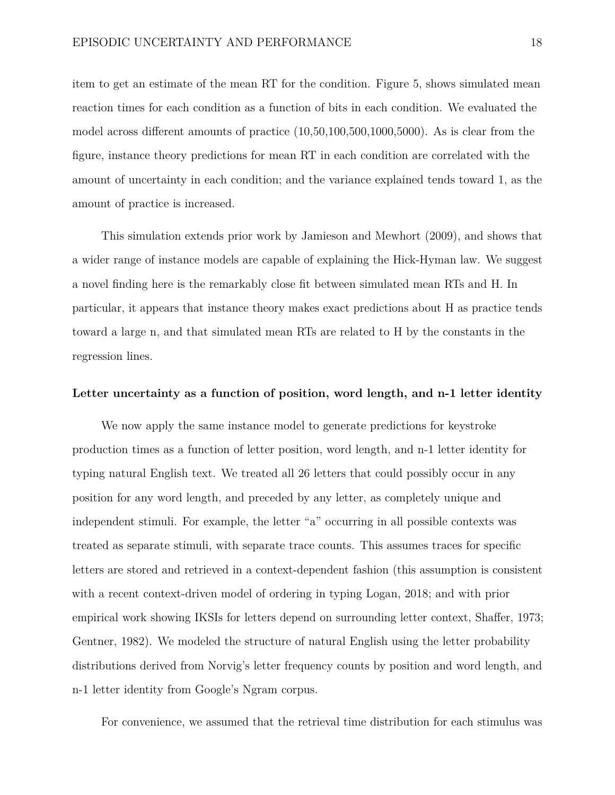item to get an estimate of the mean RT for the condition. Figure [5,](#page-35-0) shows simulated mean reaction times for each condition as a function of bits in each condition. We evaluated the model across different amounts of practice (10,50,100,500,1000,5000). As is clear from the figure, instance theory predictions for mean RT in each condition are correlated with the amount of uncertainty in each condition; and the variance explained tends toward 1, as the amount of practice is increased.

This simulation extends prior work by Jamieson and Mewhort (2009), and shows that a wider range of instance models are capable of explaining the Hick-Hyman law. We suggest a novel finding here is the remarkably close fit between simulated mean RTs and H. In particular, it appears that instance theory makes exact predictions about H as practice tends toward a large n, and that simulated mean RTs are related to H by the constants in the regression lines.

#### **Letter uncertainty as a function of position, word length, and n-1 letter identity**

We now apply the same instance model to generate predictions for keystroke production times as a function of letter position, word length, and n-1 letter identity for typing natural English text. We treated all 26 letters that could possibly occur in any position for any word length, and preceded by any letter, as completely unique and independent stimuli. For example, the letter "a" occurring in all possible contexts was treated as separate stimuli, with separate trace counts. This assumes traces for specific letters are stored and retrieved in a context-dependent fashion (this assumption is consistent with a recent context-driven model of ordering in typing Logan, 2018; and with prior empirical work showing IKSIs for letters depend on surrounding letter context, Shaffer, 1973; Gentner, 1982). We modeled the structure of natural English using the letter probability distributions derived from Norvig's letter frequency counts by position and word length, and n-1 letter identity from Google's Ngram corpus.

For convenience, we assumed that the retrieval time distribution for each stimulus was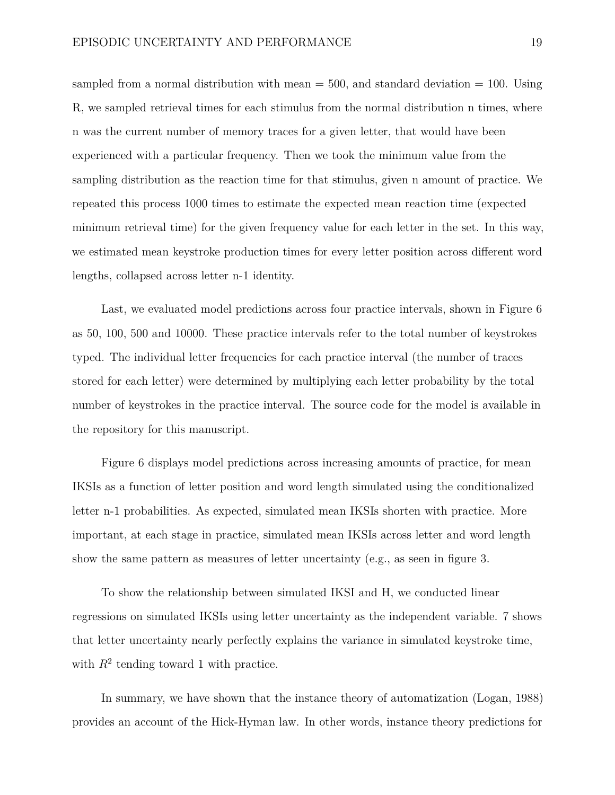sampled from a normal distribution with mean  $=$  500, and standard deviation  $=$  100. Using R, we sampled retrieval times for each stimulus from the normal distribution n times, where n was the current number of memory traces for a given letter, that would have been experienced with a particular frequency. Then we took the minimum value from the sampling distribution as the reaction time for that stimulus, given n amount of practice. We repeated this process 1000 times to estimate the expected mean reaction time (expected minimum retrieval time) for the given frequency value for each letter in the set. In this way, we estimated mean keystroke production times for every letter position across different word lengths, collapsed across letter n-1 identity.

Last, we evaluated model predictions across four practice intervals, shown in Figure [6](#page-36-0) as 50, 100, 500 and 10000. These practice intervals refer to the total number of keystrokes typed. The individual letter frequencies for each practice interval (the number of traces stored for each letter) were determined by multiplying each letter probability by the total number of keystrokes in the practice interval. The source code for the model is available in the repository for this manuscript.

Figure [6](#page-36-0) displays model predictions across increasing amounts of practice, for mean IKSIs as a function of letter position and word length simulated using the conditionalized letter n-1 probabilities. As expected, simulated mean IKSIs shorten with practice. More important, at each stage in practice, simulated mean IKSIs across letter and word length show the same pattern as measures of letter uncertainty (e.g., as seen in figure [3.](#page-34-0)

To show the relationship between simulated IKSI and H, we conducted linear regressions on simulated IKSIs using letter uncertainty as the independent variable. [7](#page-36-1) shows that letter uncertainty nearly perfectly explains the variance in simulated keystroke time, with  $R^2$  tending toward 1 with practice.

In summary, we have shown that the instance theory of automatization (Logan, 1988) provides an account of the Hick-Hyman law. In other words, instance theory predictions for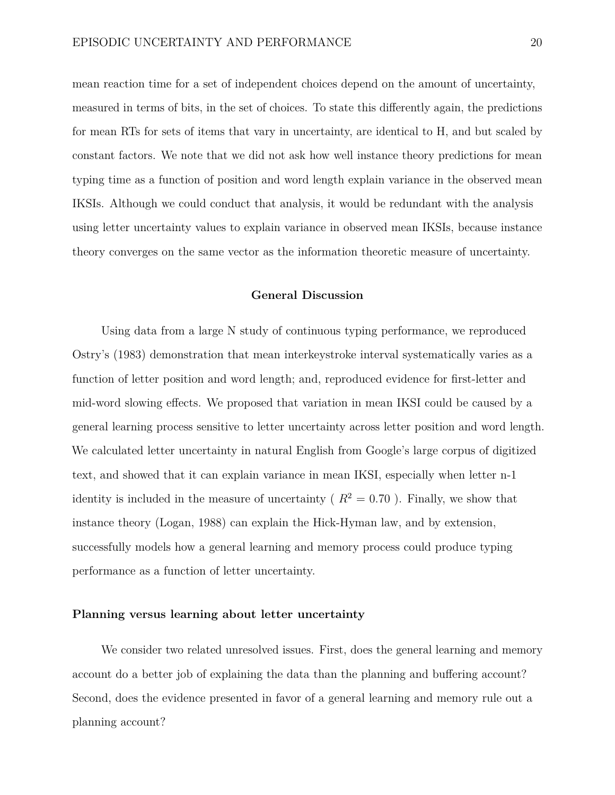mean reaction time for a set of independent choices depend on the amount of uncertainty, measured in terms of bits, in the set of choices. To state this differently again, the predictions for mean RTs for sets of items that vary in uncertainty, are identical to H, and but scaled by constant factors. We note that we did not ask how well instance theory predictions for mean typing time as a function of position and word length explain variance in the observed mean IKSIs. Although we could conduct that analysis, it would be redundant with the analysis using letter uncertainty values to explain variance in observed mean IKSIs, because instance theory converges on the same vector as the information theoretic measure of uncertainty.

# **General Discussion**

Using data from a large N study of continuous typing performance, we reproduced Ostry's (1983) demonstration that mean interkeystroke interval systematically varies as a function of letter position and word length; and, reproduced evidence for first-letter and mid-word slowing effects. We proposed that variation in mean IKSI could be caused by a general learning process sensitive to letter uncertainty across letter position and word length. We calculated letter uncertainty in natural English from Google's large corpus of digitized text, and showed that it can explain variance in mean IKSI, especially when letter n-1 identity is included in the measure of uncertainty ( $R^2 = 0.70$ ). Finally, we show that instance theory (Logan, 1988) can explain the Hick-Hyman law, and by extension, successfully models how a general learning and memory process could produce typing performance as a function of letter uncertainty.

#### **Planning versus learning about letter uncertainty**

We consider two related unresolved issues. First, does the general learning and memory account do a better job of explaining the data than the planning and buffering account? Second, does the evidence presented in favor of a general learning and memory rule out a planning account?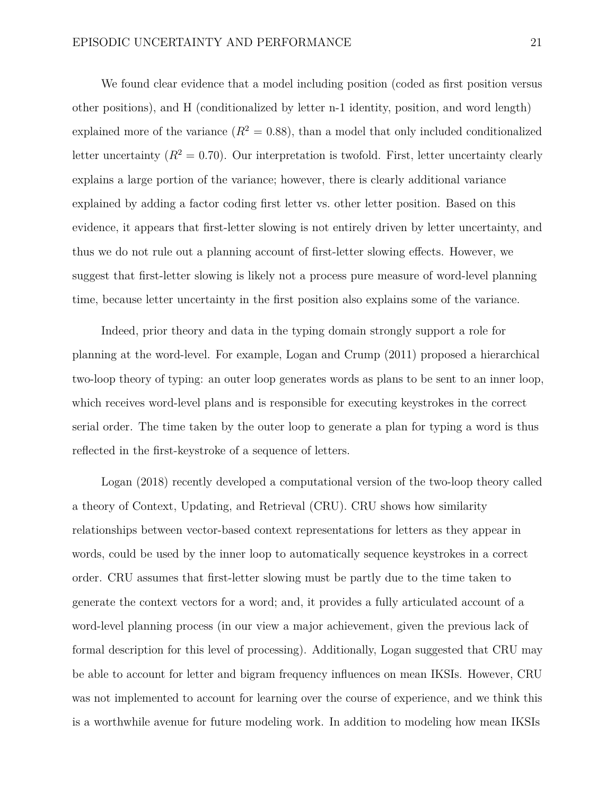We found clear evidence that a model including position (coded as first position versus other positions), and H (conditionalized by letter n-1 identity, position, and word length) explained more of the variance  $(R^2 = 0.88)$ , than a model that only included conditionalized letter uncertainty  $(R^2 = 0.70)$ . Our interpretation is twofold. First, letter uncertainty clearly explains a large portion of the variance; however, there is clearly additional variance explained by adding a factor coding first letter vs. other letter position. Based on this evidence, it appears that first-letter slowing is not entirely driven by letter uncertainty, and thus we do not rule out a planning account of first-letter slowing effects. However, we suggest that first-letter slowing is likely not a process pure measure of word-level planning time, because letter uncertainty in the first position also explains some of the variance.

Indeed, prior theory and data in the typing domain strongly support a role for planning at the word-level. For example, Logan and Crump (2011) proposed a hierarchical two-loop theory of typing: an outer loop generates words as plans to be sent to an inner loop, which receives word-level plans and is responsible for executing keystrokes in the correct serial order. The time taken by the outer loop to generate a plan for typing a word is thus reflected in the first-keystroke of a sequence of letters.

Logan (2018) recently developed a computational version of the two-loop theory called a theory of Context, Updating, and Retrieval (CRU). CRU shows how similarity relationships between vector-based context representations for letters as they appear in words, could be used by the inner loop to automatically sequence keystrokes in a correct order. CRU assumes that first-letter slowing must be partly due to the time taken to generate the context vectors for a word; and, it provides a fully articulated account of a word-level planning process (in our view a major achievement, given the previous lack of formal description for this level of processing). Additionally, Logan suggested that CRU may be able to account for letter and bigram frequency influences on mean IKSIs. However, CRU was not implemented to account for learning over the course of experience, and we think this is a worthwhile avenue for future modeling work. In addition to modeling how mean IKSIs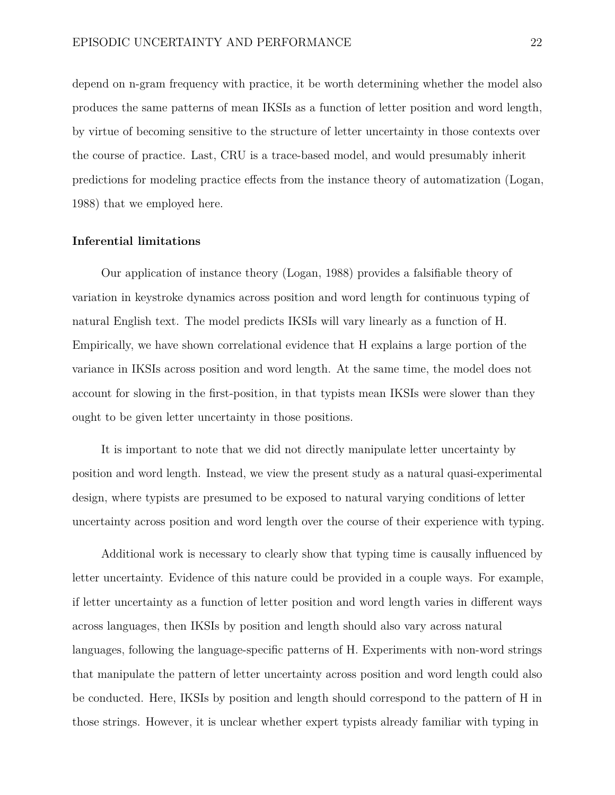depend on n-gram frequency with practice, it be worth determining whether the model also produces the same patterns of mean IKSIs as a function of letter position and word length, by virtue of becoming sensitive to the structure of letter uncertainty in those contexts over the course of practice. Last, CRU is a trace-based model, and would presumably inherit predictions for modeling practice effects from the instance theory of automatization (Logan, 1988) that we employed here.

#### **Inferential limitations**

Our application of instance theory (Logan, 1988) provides a falsifiable theory of variation in keystroke dynamics across position and word length for continuous typing of natural English text. The model predicts IKSIs will vary linearly as a function of H. Empirically, we have shown correlational evidence that H explains a large portion of the variance in IKSIs across position and word length. At the same time, the model does not account for slowing in the first-position, in that typists mean IKSIs were slower than they ought to be given letter uncertainty in those positions.

It is important to note that we did not directly manipulate letter uncertainty by position and word length. Instead, we view the present study as a natural quasi-experimental design, where typists are presumed to be exposed to natural varying conditions of letter uncertainty across position and word length over the course of their experience with typing.

Additional work is necessary to clearly show that typing time is causally influenced by letter uncertainty. Evidence of this nature could be provided in a couple ways. For example, if letter uncertainty as a function of letter position and word length varies in different ways across languages, then IKSIs by position and length should also vary across natural languages, following the language-specific patterns of H. Experiments with non-word strings that manipulate the pattern of letter uncertainty across position and word length could also be conducted. Here, IKSIs by position and length should correspond to the pattern of H in those strings. However, it is unclear whether expert typists already familiar with typing in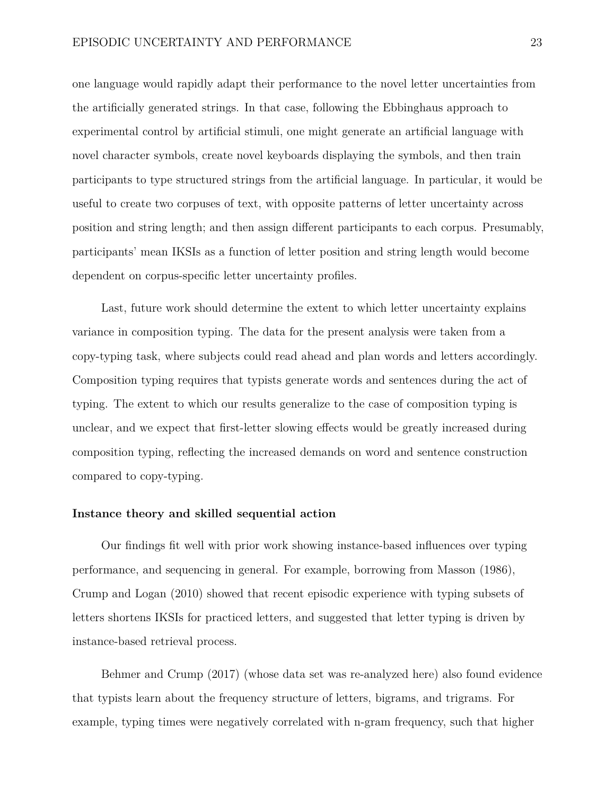one language would rapidly adapt their performance to the novel letter uncertainties from the artificially generated strings. In that case, following the Ebbinghaus approach to experimental control by artificial stimuli, one might generate an artificial language with novel character symbols, create novel keyboards displaying the symbols, and then train participants to type structured strings from the artificial language. In particular, it would be useful to create two corpuses of text, with opposite patterns of letter uncertainty across position and string length; and then assign different participants to each corpus. Presumably, participants' mean IKSIs as a function of letter position and string length would become dependent on corpus-specific letter uncertainty profiles.

Last, future work should determine the extent to which letter uncertainty explains variance in composition typing. The data for the present analysis were taken from a copy-typing task, where subjects could read ahead and plan words and letters accordingly. Composition typing requires that typists generate words and sentences during the act of typing. The extent to which our results generalize to the case of composition typing is unclear, and we expect that first-letter slowing effects would be greatly increased during composition typing, reflecting the increased demands on word and sentence construction compared to copy-typing.

#### **Instance theory and skilled sequential action**

Our findings fit well with prior work showing instance-based influences over typing performance, and sequencing in general. For example, borrowing from Masson (1986), Crump and Logan (2010) showed that recent episodic experience with typing subsets of letters shortens IKSIs for practiced letters, and suggested that letter typing is driven by instance-based retrieval process.

Behmer and Crump (2017) (whose data set was re-analyzed here) also found evidence that typists learn about the frequency structure of letters, bigrams, and trigrams. For example, typing times were negatively correlated with n-gram frequency, such that higher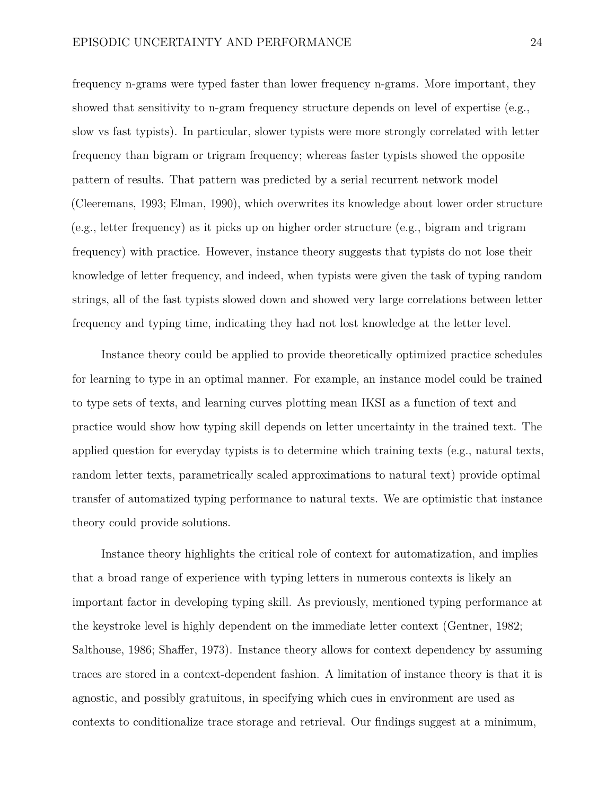frequency n-grams were typed faster than lower frequency n-grams. More important, they showed that sensitivity to n-gram frequency structure depends on level of expertise (e.g., slow vs fast typists). In particular, slower typists were more strongly correlated with letter frequency than bigram or trigram frequency; whereas faster typists showed the opposite pattern of results. That pattern was predicted by a serial recurrent network model (Cleeremans, 1993; Elman, 1990), which overwrites its knowledge about lower order structure (e.g., letter frequency) as it picks up on higher order structure (e.g., bigram and trigram frequency) with practice. However, instance theory suggests that typists do not lose their knowledge of letter frequency, and indeed, when typists were given the task of typing random strings, all of the fast typists slowed down and showed very large correlations between letter frequency and typing time, indicating they had not lost knowledge at the letter level.

Instance theory could be applied to provide theoretically optimized practice schedules for learning to type in an optimal manner. For example, an instance model could be trained to type sets of texts, and learning curves plotting mean IKSI as a function of text and practice would show how typing skill depends on letter uncertainty in the trained text. The applied question for everyday typists is to determine which training texts (e.g., natural texts, random letter texts, parametrically scaled approximations to natural text) provide optimal transfer of automatized typing performance to natural texts. We are optimistic that instance theory could provide solutions.

Instance theory highlights the critical role of context for automatization, and implies that a broad range of experience with typing letters in numerous contexts is likely an important factor in developing typing skill. As previously, mentioned typing performance at the keystroke level is highly dependent on the immediate letter context (Gentner, 1982; Salthouse, 1986; Shaffer, 1973). Instance theory allows for context dependency by assuming traces are stored in a context-dependent fashion. A limitation of instance theory is that it is agnostic, and possibly gratuitous, in specifying which cues in environment are used as contexts to conditionalize trace storage and retrieval. Our findings suggest at a minimum,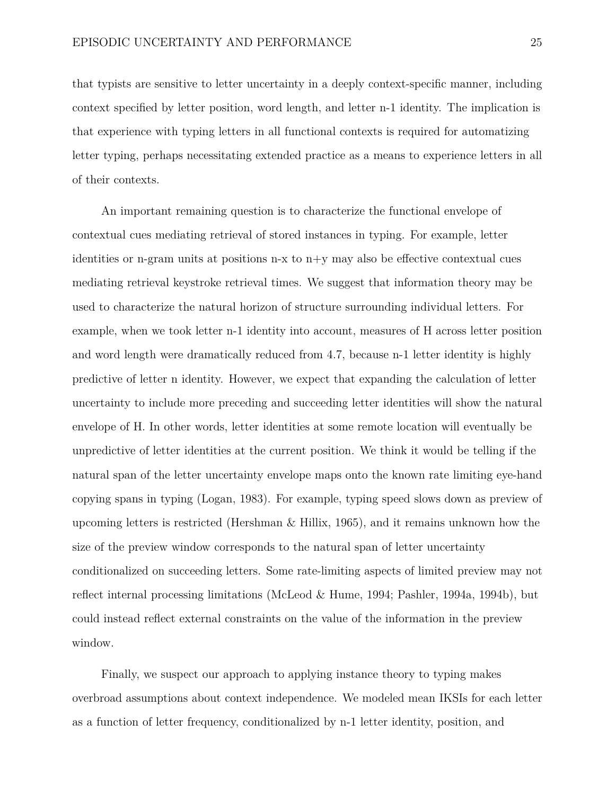that typists are sensitive to letter uncertainty in a deeply context-specific manner, including context specified by letter position, word length, and letter n-1 identity. The implication is that experience with typing letters in all functional contexts is required for automatizing letter typing, perhaps necessitating extended practice as a means to experience letters in all of their contexts.

An important remaining question is to characterize the functional envelope of contextual cues mediating retrieval of stored instances in typing. For example, letter identities or n-gram units at positions n-x to  $n+y$  may also be effective contextual cues mediating retrieval keystroke retrieval times. We suggest that information theory may be used to characterize the natural horizon of structure surrounding individual letters. For example, when we took letter n-1 identity into account, measures of H across letter position and word length were dramatically reduced from 4.7, because n-1 letter identity is highly predictive of letter n identity. However, we expect that expanding the calculation of letter uncertainty to include more preceding and succeeding letter identities will show the natural envelope of H. In other words, letter identities at some remote location will eventually be unpredictive of letter identities at the current position. We think it would be telling if the natural span of the letter uncertainty envelope maps onto the known rate limiting eye-hand copying spans in typing (Logan, 1983). For example, typing speed slows down as preview of upcoming letters is restricted (Hershman & Hillix, 1965), and it remains unknown how the size of the preview window corresponds to the natural span of letter uncertainty conditionalized on succeeding letters. Some rate-limiting aspects of limited preview may not reflect internal processing limitations (McLeod & Hume, 1994; Pashler, 1994a, 1994b), but could instead reflect external constraints on the value of the information in the preview window.

Finally, we suspect our approach to applying instance theory to typing makes overbroad assumptions about context independence. We modeled mean IKSIs for each letter as a function of letter frequency, conditionalized by n-1 letter identity, position, and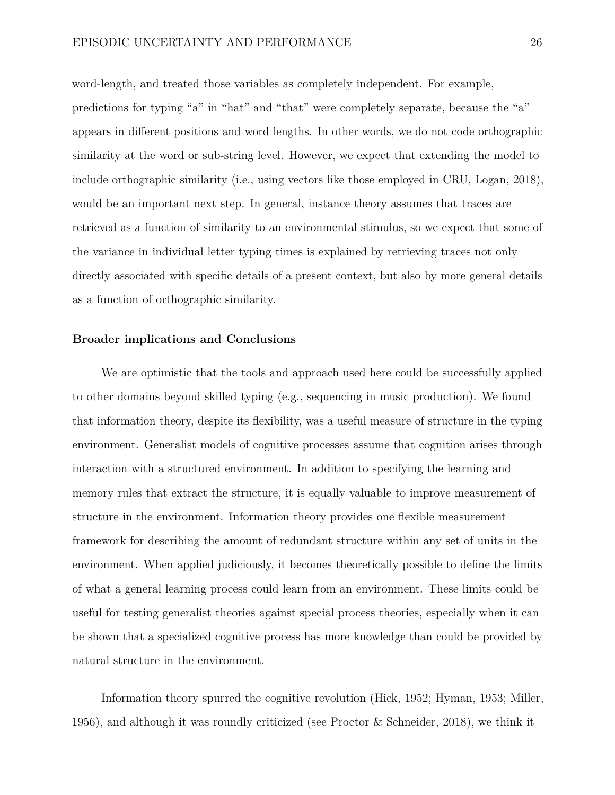word-length, and treated those variables as completely independent. For example, predictions for typing "a" in "hat" and "that" were completely separate, because the "a" appears in different positions and word lengths. In other words, we do not code orthographic similarity at the word or sub-string level. However, we expect that extending the model to include orthographic similarity (i.e., using vectors like those employed in CRU, Logan, 2018), would be an important next step. In general, instance theory assumes that traces are retrieved as a function of similarity to an environmental stimulus, so we expect that some of the variance in individual letter typing times is explained by retrieving traces not only directly associated with specific details of a present context, but also by more general details as a function of orthographic similarity.

#### **Broader implications and Conclusions**

We are optimistic that the tools and approach used here could be successfully applied to other domains beyond skilled typing (e.g., sequencing in music production). We found that information theory, despite its flexibility, was a useful measure of structure in the typing environment. Generalist models of cognitive processes assume that cognition arises through interaction with a structured environment. In addition to specifying the learning and memory rules that extract the structure, it is equally valuable to improve measurement of structure in the environment. Information theory provides one flexible measurement framework for describing the amount of redundant structure within any set of units in the environment. When applied judiciously, it becomes theoretically possible to define the limits of what a general learning process could learn from an environment. These limits could be useful for testing generalist theories against special process theories, especially when it can be shown that a specialized cognitive process has more knowledge than could be provided by natural structure in the environment.

Information theory spurred the cognitive revolution (Hick, 1952; Hyman, 1953; Miller, 1956), and although it was roundly criticized (see Proctor & Schneider, 2018), we think it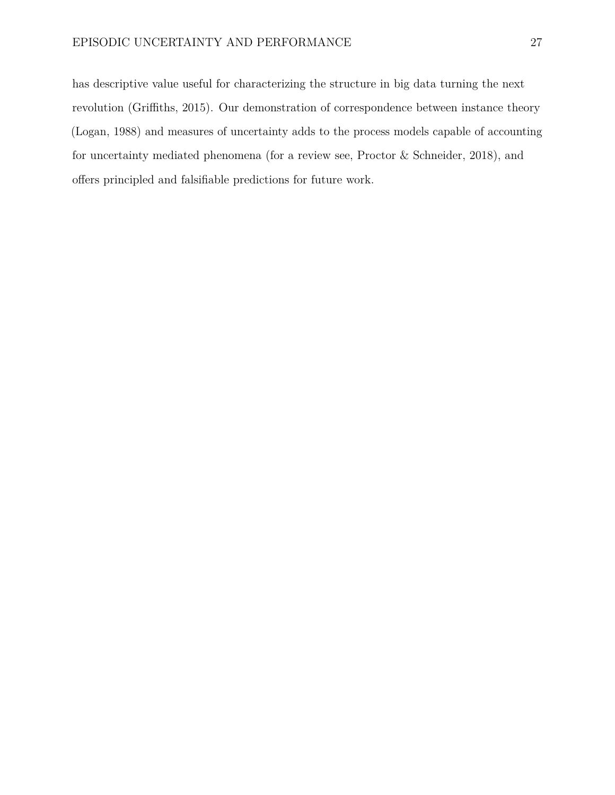has descriptive value useful for characterizing the structure in big data turning the next revolution (Griffiths, 2015). Our demonstration of correspondence between instance theory (Logan, 1988) and measures of uncertainty adds to the process models capable of accounting for uncertainty mediated phenomena (for a review see, Proctor & Schneider, 2018), and offers principled and falsifiable predictions for future work.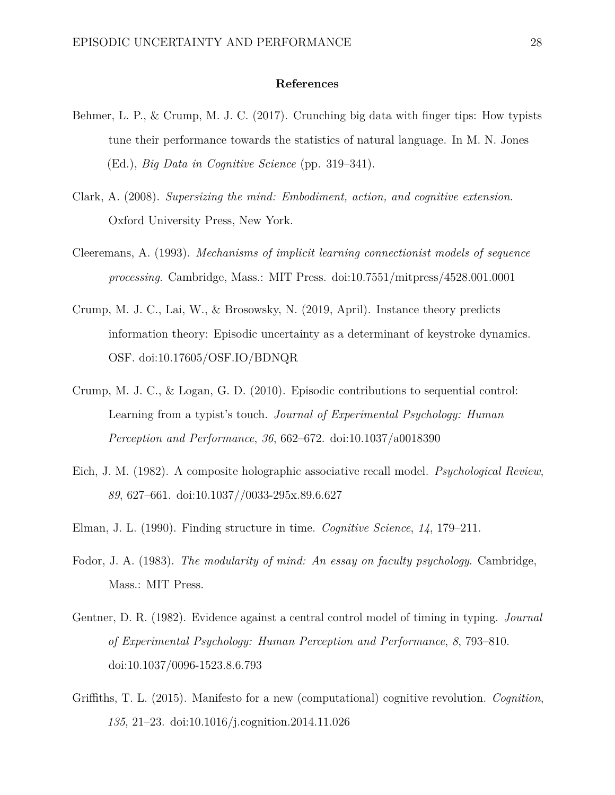# **References**

- Behmer, L. P., & Crump, M. J. C. (2017). Crunching big data with finger tips: How typists tune their performance towards the statistics of natural language. In M. N. Jones (Ed.), *Big Data in Cognitive Science* (pp. 319–341).
- Clark, A. (2008). *Supersizing the mind: Embodiment, action, and cognitive extension*. Oxford University Press, New York.
- Cleeremans, A. (1993). *Mechanisms of implicit learning connectionist models of sequence processing*. Cambridge, Mass.: MIT Press. doi[:10.7551/mitpress/4528.001.0001](https://doi.org/10.7551/mitpress/4528.001.0001)
- Crump, M. J. C., Lai, W., & Brosowsky, N. (2019, April). Instance theory predicts information theory: Episodic uncertainty as a determinant of keystroke dynamics. OSF. doi[:10.17605/OSF.IO/BDNQR](https://doi.org/10.17605/OSF.IO/BDNQR)
- Crump, M. J. C., & Logan, G. D. (2010). Episodic contributions to sequential control: Learning from a typist's touch. *Journal of Experimental Psychology: Human Perception and Performance*, *36*, 662–672. doi[:10.1037/a0018390](https://doi.org/10.1037/a0018390)
- Eich, J. M. (1982). A composite holographic associative recall model. *Psychological Review*, *89*, 627–661. doi[:10.1037//0033-295x.89.6.627](https://doi.org/10.1037//0033-295x.89.6.627)
- Elman, J. L. (1990). Finding structure in time. *Cognitive Science*, *14*, 179–211.
- Fodor, J. A. (1983). *The modularity of mind: An essay on faculty psychology*. Cambridge, Mass.: MIT Press.
- Gentner, D. R. (1982). Evidence against a central control model of timing in typing. *Journal of Experimental Psychology: Human Perception and Performance*, *8*, 793–810. doi[:10.1037/0096-1523.8.6.793](https://doi.org/10.1037/0096-1523.8.6.793)
- Griffiths, T. L. (2015). Manifesto for a new (computational) cognitive revolution. *Cognition*, *135*, 21–23. doi[:10.1016/j.cognition.2014.11.026](https://doi.org/10.1016/j.cognition.2014.11.026)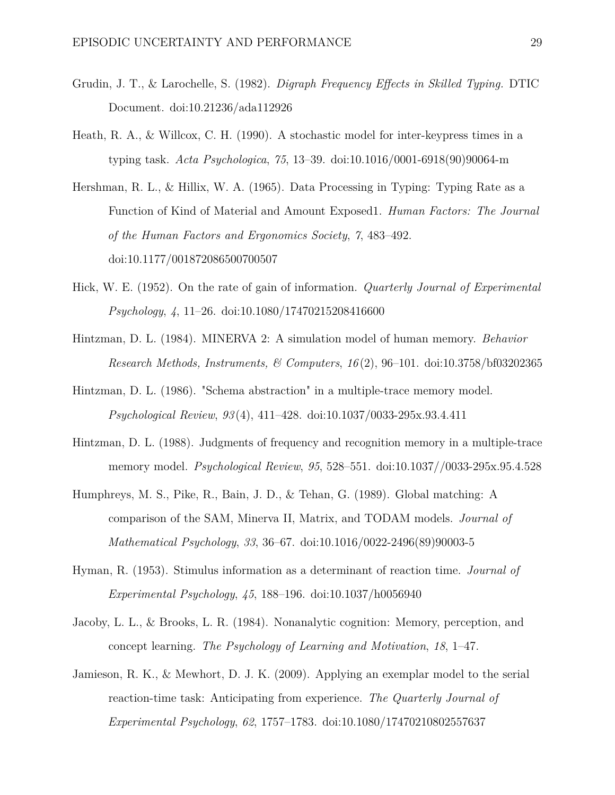- Grudin, J. T., & Larochelle, S. (1982). *Digraph Frequency Effects in Skilled Typing.* DTIC Document. doi[:10.21236/ada112926](https://doi.org/10.21236/ada112926)
- Heath, R. A., & Willcox, C. H. (1990). A stochastic model for inter-keypress times in a typing task. *Acta Psychologica*, *75*, 13–39. doi[:10.1016/0001-6918\(90\)90064-m](https://doi.org/10.1016/0001-6918(90)90064-m)
- Hershman, R. L., & Hillix, W. A. (1965). Data Processing in Typing: Typing Rate as a Function of Kind of Material and Amount Exposed1. *Human Factors: The Journal of the Human Factors and Ergonomics Society*, *7*, 483–492. doi[:10.1177/001872086500700507](https://doi.org/10.1177/001872086500700507)
- Hick, W. E. (1952). On the rate of gain of information. *Quarterly Journal of Experimental Psychology*, *4*, 11–26. doi[:10.1080/17470215208416600](https://doi.org/10.1080/17470215208416600)
- Hintzman, D. L. (1984). MINERVA 2: A simulation model of human memory. *Behavior Research Methods, Instruments, & Computers*, *16* (2), 96–101. doi[:10.3758/bf03202365](https://doi.org/10.3758/bf03202365)
- Hintzman, D. L. (1986). "Schema abstraction" in a multiple-trace memory model. *Psychological Review*, *93* (4), 411–428. doi[:10.1037/0033-295x.93.4.411](https://doi.org/10.1037/0033-295x.93.4.411)
- Hintzman, D. L. (1988). Judgments of frequency and recognition memory in a multiple-trace memory model. *Psychological Review*, *95*, 528–551. doi[:10.1037//0033-295x.95.4.528](https://doi.org/10.1037//0033-295x.95.4.528)
- Humphreys, M. S., Pike, R., Bain, J. D., & Tehan, G. (1989). Global matching: A comparison of the SAM, Minerva II, Matrix, and TODAM models. *Journal of Mathematical Psychology*, *33*, 36–67. doi[:10.1016/0022-2496\(89\)90003-5](https://doi.org/10.1016/0022-2496(89)90003-5)
- Hyman, R. (1953). Stimulus information as a determinant of reaction time. *Journal of Experimental Psychology*, *45*, 188–196. doi[:10.1037/h0056940](https://doi.org/10.1037/h0056940)
- Jacoby, L. L., & Brooks, L. R. (1984). Nonanalytic cognition: Memory, perception, and concept learning. *The Psychology of Learning and Motivation*, *18*, 1–47.
- Jamieson, R. K., & Mewhort, D. J. K. (2009). Applying an exemplar model to the serial reaction-time task: Anticipating from experience. *The Quarterly Journal of Experimental Psychology*, *62*, 1757–1783. doi[:10.1080/17470210802557637](https://doi.org/10.1080/17470210802557637)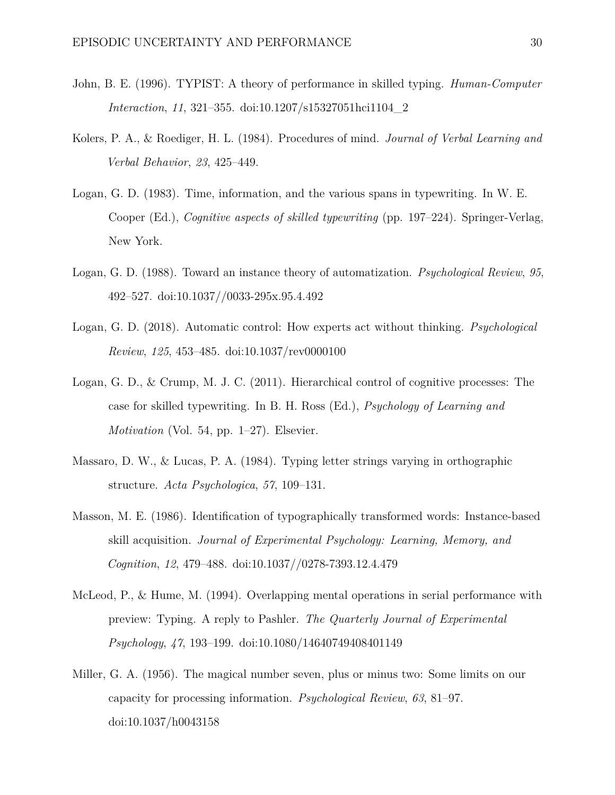- John, B. E. (1996). TYPIST: A theory of performance in skilled typing. *Human-Computer Interaction*, *11*, 321–355. doi[:10.1207/s15327051hci1104\\_2](https://doi.org/10.1207/s15327051hci1104_2)
- Kolers, P. A., & Roediger, H. L. (1984). Procedures of mind. *Journal of Verbal Learning and Verbal Behavior*, *23*, 425–449.
- Logan, G. D. (1983). Time, information, and the various spans in typewriting. In W. E. Cooper (Ed.), *Cognitive aspects of skilled typewriting* (pp. 197–224). Springer-Verlag, New York.
- Logan, G. D. (1988). Toward an instance theory of automatization. *Psychological Review*, *95*, 492–527. doi[:10.1037//0033-295x.95.4.492](https://doi.org/10.1037//0033-295x.95.4.492)
- Logan, G. D. (2018). Automatic control: How experts act without thinking. *Psychological Review*, *125*, 453–485. doi[:10.1037/rev0000100](https://doi.org/10.1037/rev0000100)
- Logan, G. D., & Crump, M. J. C. (2011). Hierarchical control of cognitive processes: The case for skilled typewriting. In B. H. Ross (Ed.), *Psychology of Learning and Motivation* (Vol. 54, pp. 1–27). Elsevier.
- Massaro, D. W., & Lucas, P. A. (1984). Typing letter strings varying in orthographic structure. *Acta Psychologica*, *57*, 109–131.
- Masson, M. E. (1986). Identification of typographically transformed words: Instance-based skill acquisition. *Journal of Experimental Psychology: Learning, Memory, and Cognition*, *12*, 479–488. doi[:10.1037//0278-7393.12.4.479](https://doi.org/10.1037//0278-7393.12.4.479)
- McLeod, P., & Hume, M. (1994). Overlapping mental operations in serial performance with preview: Typing. A reply to Pashler. *The Quarterly Journal of Experimental Psychology*, *47*, 193–199. doi[:10.1080/14640749408401149](https://doi.org/10.1080/14640749408401149)
- Miller, G. A. (1956). The magical number seven, plus or minus two: Some limits on our capacity for processing information. *Psychological Review*, *63*, 81–97. doi[:10.1037/h0043158](https://doi.org/10.1037/h0043158)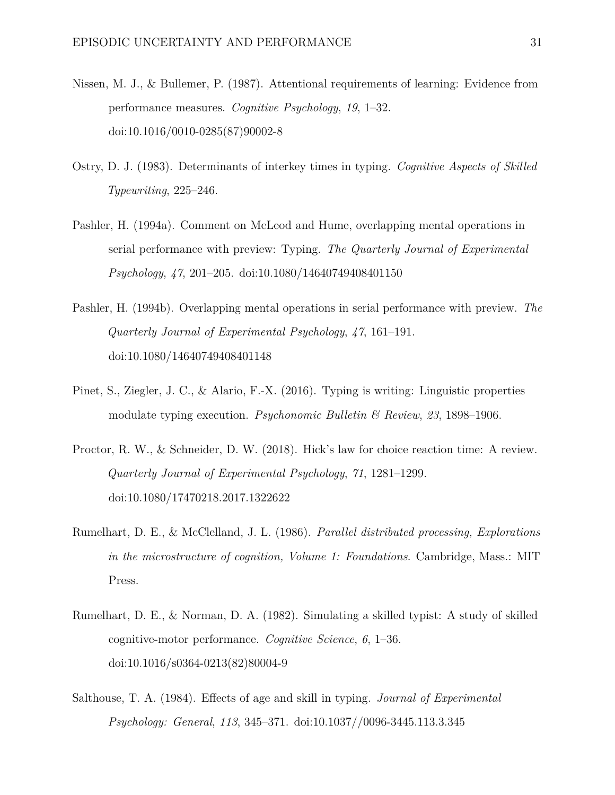- Nissen, M. J., & Bullemer, P. (1987). Attentional requirements of learning: Evidence from performance measures. *Cognitive Psychology*, *19*, 1–32. doi[:10.1016/0010-0285\(87\)90002-8](https://doi.org/10.1016/0010-0285(87)90002-8)
- Ostry, D. J. (1983). Determinants of interkey times in typing. *Cognitive Aspects of Skilled Typewriting*, 225–246.
- Pashler, H. (1994a). Comment on McLeod and Hume, overlapping mental operations in serial performance with preview: Typing. *The Quarterly Journal of Experimental Psychology*, *47*, 201–205. doi[:10.1080/14640749408401150](https://doi.org/10.1080/14640749408401150)
- Pashler, H. (1994b). Overlapping mental operations in serial performance with preview. *The Quarterly Journal of Experimental Psychology*, *47*, 161–191. doi[:10.1080/14640749408401148](https://doi.org/10.1080/14640749408401148)
- Pinet, S., Ziegler, J. C., & Alario, F.-X. (2016). Typing is writing: Linguistic properties modulate typing execution. *Psychonomic Bulletin & Review*, *23*, 1898–1906.
- Proctor, R. W., & Schneider, D. W. (2018). Hick's law for choice reaction time: A review. *Quarterly Journal of Experimental Psychology*, *71*, 1281–1299. doi[:10.1080/17470218.2017.1322622](https://doi.org/10.1080/17470218.2017.1322622)
- Rumelhart, D. E., & McClelland, J. L. (1986). *Parallel distributed processing, Explorations in the microstructure of cognition, Volume 1: Foundations*. Cambridge, Mass.: MIT Press.
- Rumelhart, D. E., & Norman, D. A. (1982). Simulating a skilled typist: A study of skilled cognitive-motor performance. *Cognitive Science*, *6*, 1–36. doi[:10.1016/s0364-0213\(82\)80004-9](https://doi.org/10.1016/s0364-0213(82)80004-9)
- Salthouse, T. A. (1984). Effects of age and skill in typing. *Journal of Experimental Psychology: General*, *113*, 345–371. doi[:10.1037//0096-3445.113.3.345](https://doi.org/10.1037//0096-3445.113.3.345)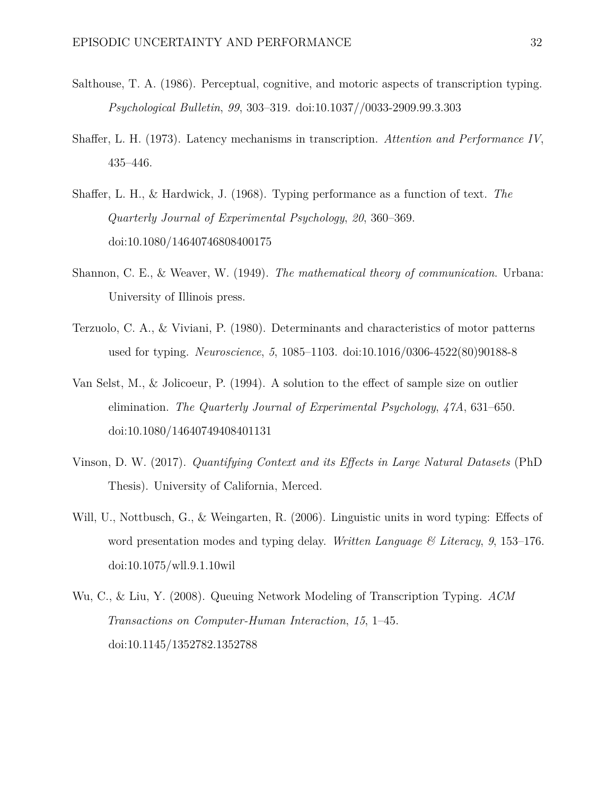- Salthouse, T. A. (1986). Perceptual, cognitive, and motoric aspects of transcription typing. *Psychological Bulletin*, *99*, 303–319. doi[:10.1037//0033-2909.99.3.303](https://doi.org/10.1037//0033-2909.99.3.303)
- Shaffer, L. H. (1973). Latency mechanisms in transcription. *Attention and Performance IV*, 435–446.
- Shaffer, L. H., & Hardwick, J. (1968). Typing performance as a function of text. *The Quarterly Journal of Experimental Psychology*, *20*, 360–369. doi[:10.1080/14640746808400175](https://doi.org/10.1080/14640746808400175)
- Shannon, C. E., & Weaver, W. (1949). *The mathematical theory of communication*. Urbana: University of Illinois press.
- Terzuolo, C. A., & Viviani, P. (1980). Determinants and characteristics of motor patterns used for typing. *Neuroscience*, *5*, 1085–1103. doi[:10.1016/0306-4522\(80\)90188-8](https://doi.org/10.1016/0306-4522(80)90188-8)
- Van Selst, M., & Jolicoeur, P. (1994). A solution to the effect of sample size on outlier elimination. *The Quarterly Journal of Experimental Psychology*, *47A*, 631–650. doi[:10.1080/14640749408401131](https://doi.org/10.1080/14640749408401131)
- Vinson, D. W. (2017). *Quantifying Context and its Effects in Large Natural Datasets* (PhD Thesis). University of California, Merced.
- Will, U., Nottbusch, G., & Weingarten, R. (2006). Linguistic units in word typing: Effects of word presentation modes and typing delay. *Written Language & Literacy*, *9*, 153–176. doi[:10.1075/wll.9.1.10wil](https://doi.org/10.1075/wll.9.1.10wil)
- Wu, C., & Liu, Y. (2008). Queuing Network Modeling of Transcription Typing. *ACM Transactions on Computer-Human Interaction*, *15*, 1–45. doi[:10.1145/1352782.1352788](https://doi.org/10.1145/1352782.1352788)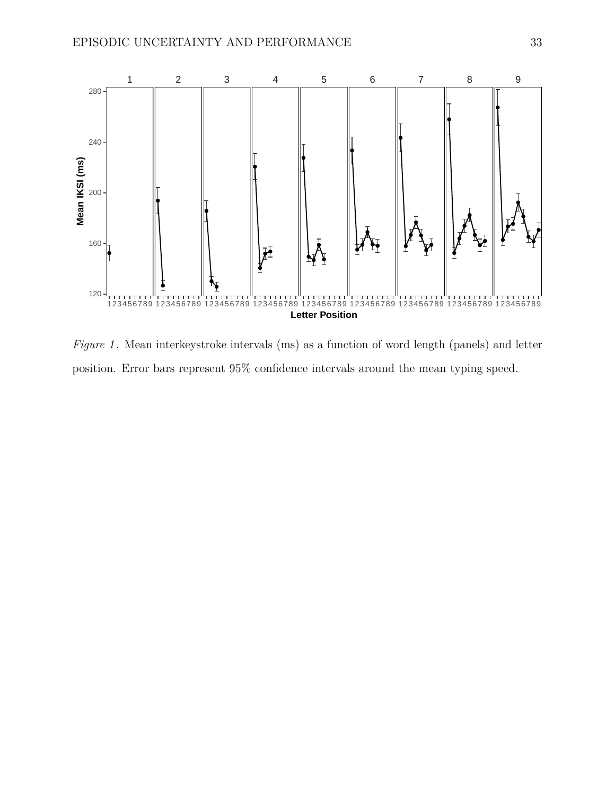<span id="page-32-0"></span>

*Figure 1* . Mean interkeystroke intervals (ms) as a function of word length (panels) and letter position. Error bars represent 95% confidence intervals around the mean typing speed.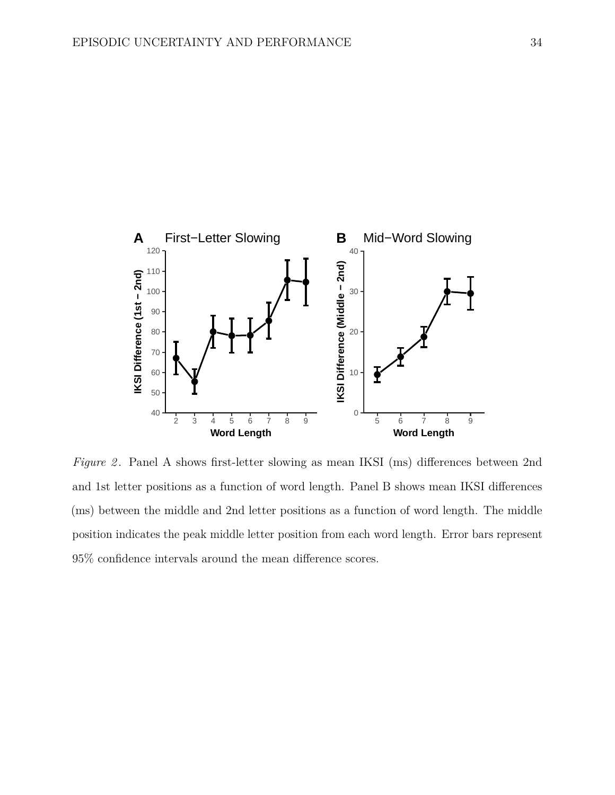<span id="page-33-0"></span>

*Figure 2*. Panel A shows first-letter slowing as mean IKSI (ms) differences between 2nd and 1st letter positions as a function of word length. Panel B shows mean IKSI differences (ms) between the middle and 2nd letter positions as a function of word length. The middle position indicates the peak middle letter position from each word length. Error bars represent 95% confidence intervals around the mean difference scores.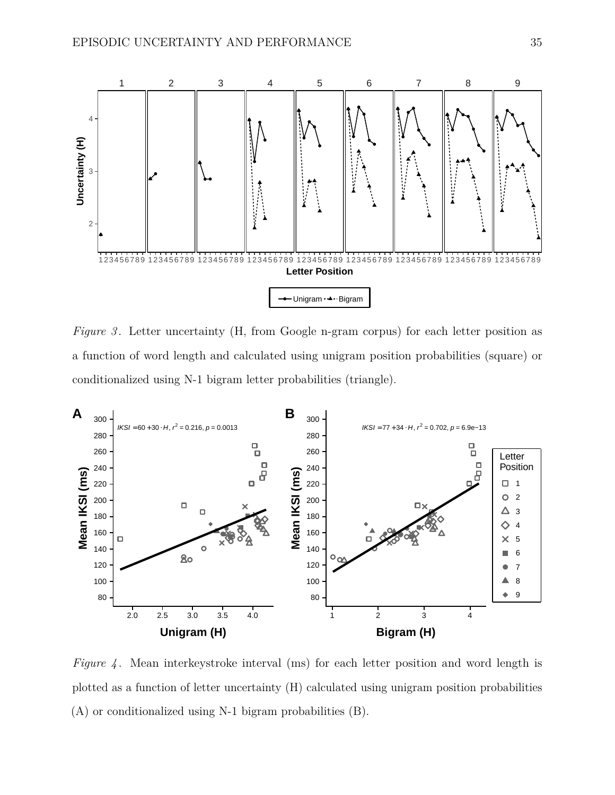<span id="page-34-0"></span>

*Figure 3*. Letter uncertainty (H, from Google n-gram corpus) for each letter position as a function of word length and calculated using unigram position probabilities (square) or conditionalized using N-1 bigram letter probabilities (triangle).

<span id="page-34-1"></span>

*Figure 4*. Mean interkeystroke interval (ms) for each letter position and word length is plotted as a function of letter uncertainty (H) calculated using unigram position probabilities (A) or conditionalized using N-1 bigram probabilities (B).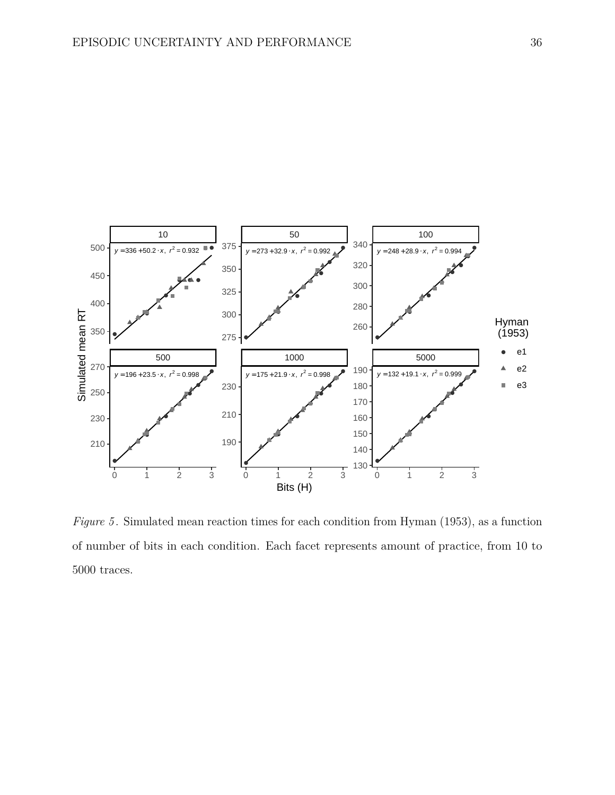<span id="page-35-0"></span>

*Figure 5*. Simulated mean reaction times for each condition from Hyman (1953), as a function of number of bits in each condition. Each facet represents amount of practice, from 10 to 5000 traces.